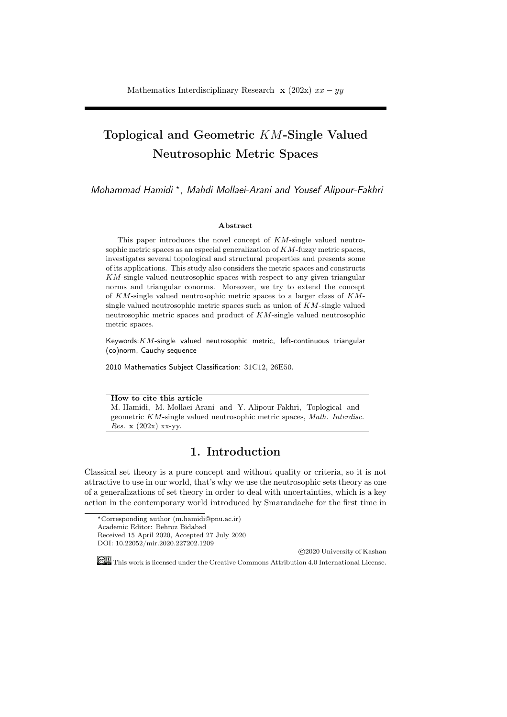# Toplogical and Geometric *KM*-Single Valued Neutrosophic Metric Spaces

*Mohammad Hamidi <sup>⋆</sup> , Mahdi Mollaei-Arani and Yousef Alipour-Fakhri*

#### Abstract

This paper introduces the novel concept of *KM*-single valued neutrosophic metric spaces as an especial generalization of *KM*-fuzzy metric spaces, investigates several topological and structural properties and presents some of its applications. This study also considers the metric spaces and constructs *KM*-single valued neutrosophic spaces with respect to any given triangular norms and triangular conorms. Moreover, we try to extend the concept of *KM*-single valued neutrosophic metric spaces to a larger class of *KM*single valued neutrosophic metric spaces such as union of *KM*-single valued neutrosophic metric spaces and product of *KM*-single valued neutrosophic metric spaces.

Keywords:*KM*-single valued neutrosophic metric, left-continuous triangular (co)norm, Cauchy sequence

2010 Mathematics Subject Classification: 31C12, 26E50.

How to cite this article

M. Hamidi, M. Mollaei-Arani and Y. Alipour-Fakhri, Toplogical and geometric *KM*-single valued neutrosophic metric spaces, *Math. Interdisc. Res.* x (202x) xx-yy.

### 1. Introduction

Classical set theory is a pure concept and without quality or criteria, so it is not attractive to use in our world, that's why we use the neutrosophic sets theory as one of a generalizations of set theory in order to deal with uncertainties, which is a key action in the contemporary world introduced by Smarandache for the first time in

*⃝*c 2020 University of Kashan

This work is licensed under the Creative Commons Attribution 4.0 International License.

*<sup>⋆</sup>*Corresponding author (m.hamidi@pnu.ac.ir) Academic Editor: Behroz Bidabad Received 15 April 2020, Accepted 27 July 2020 DOI: 10.22052/mir.2020.227202.1209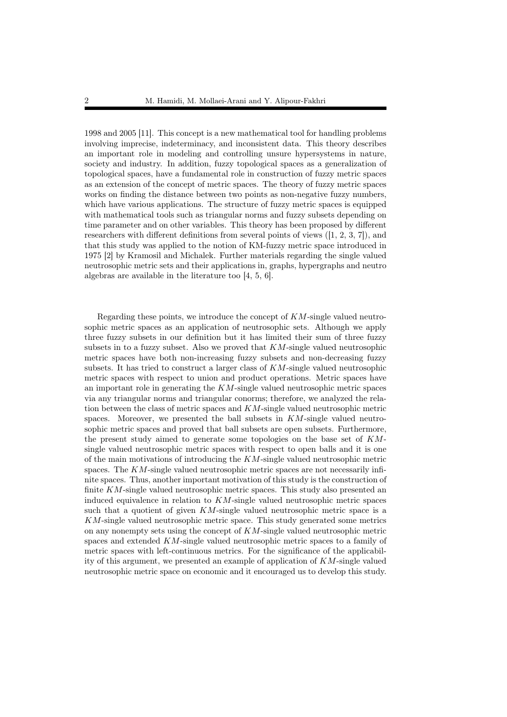1998 and 2005 [11]. This concept is a new mathematical tool for handling problems involving imprecise, indeterminacy, and inconsistent data. This theory describes an important role in modeling and controlling unsure hypersystems in nature, society and industry. In addition, fuzzy topological spaces as a generalization of topological spaces, have a fundamental role in construction of fuzzy metric spaces as an extension of the concept of metric spaces. The theory of fuzzy metric spaces works on finding the distance between two points as non-negative fuzzy numbers, which have various applications. The structure of fuzzy metric spaces is equipped with mathematical tools such as triangular norms and fuzzy subsets depending on time parameter and on other variables. This theory has been proposed by different researchers with different definitions from several points of views  $(1, 2, 3, 7)$ , and that this study was applied to the notion of KM-fuzzy metric space introduced in 1975 [2] by Kramosil and Michalek. Further materials regarding the single valued neutrosophic metric sets and their applications in, graphs, hypergraphs and neutro algebras are available in the literature too [4, 5, 6].

Regarding these points, we introduce the concept of *KM*-single valued neutrosophic metric spaces as an application of neutrosophic sets. Although we apply three fuzzy subsets in our definition but it has limited their sum of three fuzzy subsets in to a fuzzy subset. Also we proved that *KM*-single valued neutrosophic metric spaces have both non-increasing fuzzy subsets and non-decreasing fuzzy subsets. It has tried to construct a larger class of *KM*-single valued neutrosophic metric spaces with respect to union and product operations. Metric spaces have an important role in generating the *KM*-single valued neutrosophic metric spaces via any triangular norms and triangular conorms; therefore, we analyzed the relation between the class of metric spaces and *KM*-single valued neutrosophic metric spaces. Moreover, we presented the ball subsets in *KM*-single valued neutrosophic metric spaces and proved that ball subsets are open subsets. Furthermore, the present study aimed to generate some topologies on the base set of *KM*single valued neutrosophic metric spaces with respect to open balls and it is one of the main motivations of introducing the *KM*-single valued neutrosophic metric spaces. The *KM*-single valued neutrosophic metric spaces are not necessarily infinite spaces. Thus, another important motivation of this study is the construction of finite *KM*-single valued neutrosophic metric spaces. This study also presented an induced equivalence in relation to *KM*-single valued neutrosophic metric spaces such that a quotient of given *KM*-single valued neutrosophic metric space is a *KM*-single valued neutrosophic metric space. This study generated some metrics on any nonempty sets using the concept of *KM*-single valued neutrosophic metric spaces and extended *KM*-single valued neutrosophic metric spaces to a family of metric spaces with left-continuous metrics. For the significance of the applicability of this argument, we presented an example of application of *KM*-single valued neutrosophic metric space on economic and it encouraged us to develop this study.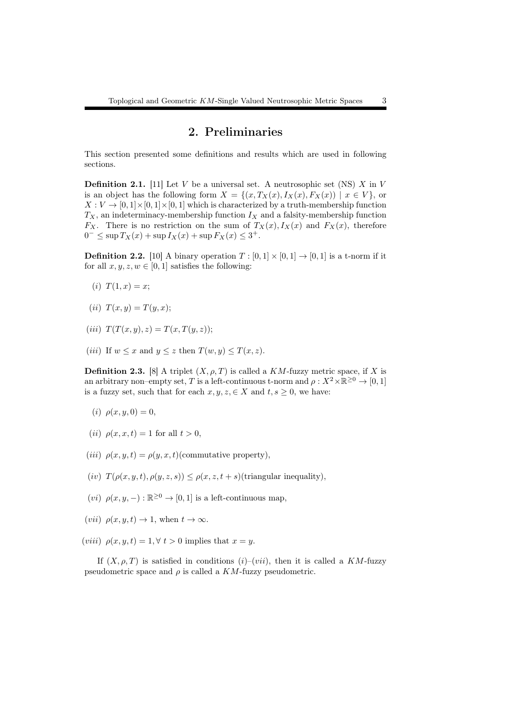### 2. Preliminaries

This section presented some definitions and results which are used in following sections.

Definition 2.1. [11] Let *V* be a universal set. A neutrosophic set (NS) *X* in *V* is an object has the following form  $X = \{(x, T_X(x), I_X(x), F_X(x)) \mid x \in V\}$ , or  $X: V \to [0, 1] \times [0, 1] \times [0, 1]$  which is characterized by a truth-membership function  $T_X$ , an indeterminacy-membership function  $I_X$  and a falsity-membership function *F<sub>X</sub>*. There is no restriction on the sum of  $T_X(x)$ ,  $I_X(x)$  and  $F_X(x)$ , therefore 0<sup>−</sup> ≤ sup  $T_X(x)$  + sup  $I_X(x)$  + sup  $F_X(x)$  ≤ 3<sup>+</sup>.

**Definition 2.2.** [10] A binary operation  $T : [0,1] \times [0,1] \rightarrow [0,1]$  is a t-norm if it for all  $x, y, z, w \in [0, 1]$  satisfies the following:

- (*i*)  $T(1, x) = x$ ;
- (*ii*)  $T(x, y) = T(y, x);$
- $(iii)$   $T(T(x, y), z) = T(x, T(y, z));$
- (*iii*) If  $w \leq x$  and  $y \leq z$  then  $T(w, y) \leq T(x, z)$ .

**Definition 2.3.** [8] A triplet  $(X, \rho, T)$  is called a *KM*-fuzzy metric space, if *X* is an arbitrary non–empty set, *T* is a left-continuous t-norm and  $\rho: X^2 \times \mathbb{R}^{\geq 0} \to [0, 1]$ is a fuzzy set, such that for each  $x, y, z \in X$  and  $t, s \geq 0$ , we have:

- (*i*)  $\rho(x, y, 0) = 0$ ,
- (*ii*)  $\rho(x, x, t) = 1$  for all  $t > 0$ ,
- (*iii*)  $\rho(x, y, t) = \rho(y, x, t)$ (commutative property),
- (*iv*)  $T(\rho(x, y, t), \rho(y, z, s)) \leq \rho(x, z, t + s)$ (triangular inequality),
- $(vi)$   $\rho(x, y, -) : \mathbb{R}^{\geq 0} \to [0, 1]$  is a left-continuous map,
- $(vii)$   $\rho(x, y, t) \rightarrow 1$ , when  $t \rightarrow \infty$ .
- (*viii*)  $\rho(x, y, t) = 1, \forall t > 0$  implies that  $x = y$ .

If  $(X, \rho, T)$  is satisfied in conditions  $(i)-(vii)$ , then it is called a  $KM$ -fuzzy pseudometric space and  $\rho$  is called a  $KM$ -fuzzy pseudometric.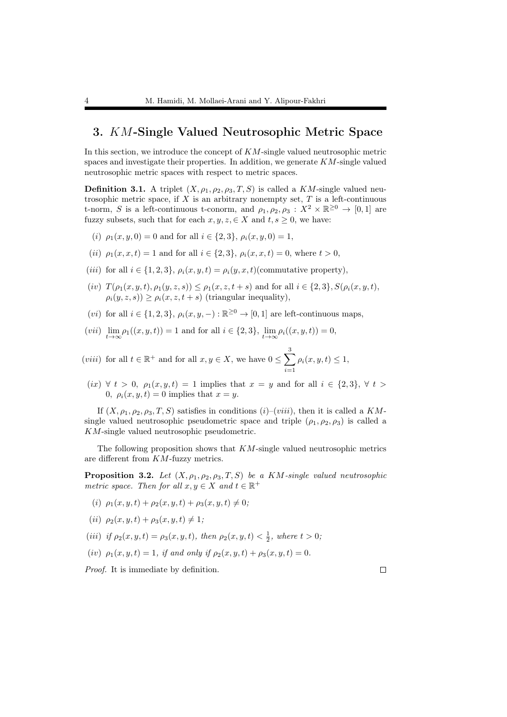### 3. *KM*-Single Valued Neutrosophic Metric Space

In this section, we introduce the concept of *KM*-single valued neutrosophic metric spaces and investigate their properties. In addition, we generate *KM*-single valued neutrosophic metric spaces with respect to metric spaces.

**Definition 3.1.** A triplet  $(X, \rho_1, \rho_2, \rho_3, T, S)$  is called a *KM*-single valued neutrosophic metric space, if *X* is an arbitrary nonempty set, *T* is a left-continuous t-norm, *S* is a left-continuous t-conorm, and  $\rho_1, \rho_2, \rho_3 : X^2 \times \mathbb{R}^{\geq 0} \to [0,1]$  are fuzzy subsets, such that for each  $x, y, z \in X$  and  $t, s \geq 0$ , we have:

- (*i*)  $\rho_1(x, y, 0) = 0$  and for all  $i \in \{2, 3\}, \rho_i(x, y, 0) = 1$ ,
- (*ii*)  $\rho_1(x, x, t) = 1$  and for all  $i \in \{2, 3\}, \rho_i(x, x, t) = 0$ , where  $t > 0$ ,
- (*iii*) for all  $i \in \{1, 2, 3\}$ ,  $\rho_i(x, y, t) = \rho_i(y, x, t)$ (commutative property),
- $(v)$  *T*( $\rho_1(x, y, t)$ ,  $\rho_1(y, z, s)$ )  $\leq \rho_1(x, z, t + s)$  and for all  $i \in \{2, 3\}$ ,  $S(\rho_i(x, y, t)$ ,  $\rho_i(y, z, s)$ ) >  $\rho_i(x, z, t + s)$  (triangular inequality),
- (*vi*) for all  $i \in \{1, 2, 3\}$ ,  $\rho_i(x, y, -) : \mathbb{R}^{\geq 0} \to [0, 1]$  are left-continuous maps,
- $(vii)$   $\lim_{t \to \infty} \rho_1((x, y, t)) = 1$  and for all  $i \in \{2, 3\}$ ,  $\lim_{t \to \infty} \rho_i((x, y, t)) = 0$ ,

(*viii*) for all  $t \in \mathbb{R}^+$  and for all  $x, y \in X$ , we have  $0 \le \sum_{i=1}^3$ *i*=1  $\rho_i(x, y, t) \leq 1$ ,

 $(ix)$   $\forall$   $t > 0$ ,  $\rho_1(x, y, t) = 1$  implies that  $x = y$  and for all  $i \in \{2, 3\}$ ,  $\forall$   $t >$ 0,  $\rho_i(x, y, t) = 0$  implies that  $x = y$ .

If  $(X, \rho_1, \rho_2, \rho_3, T, S)$  satisfies in conditions  $(i)$ – $(viii)$ , then it is called a *KM*single valued neutrosophic pseudometric space and triple  $(\rho_1, \rho_2, \rho_3)$  is called a *KM*-single valued neutrosophic pseudometric.

The following proposition shows that *KM*-single valued neutrosophic metrics are different from *KM*-fuzzy metrics.

**Proposition 3.2.** *Let*  $(X, \rho_1, \rho_2, \rho_3, T, S)$  *be a KM*-single valued neutrosophic *metric space. Then for all*  $x, y \in X$  *and*  $t \in \mathbb{R}^+$ 

- $(i)$   $\rho_1(x, y, t) + \rho_2(x, y, t) + \rho_3(x, y, t) \neq 0;$
- $(iii) \ \rho_2(x, y, t) + \rho_3(x, y, t) \neq 1;$
- (*iii*) *if*  $\rho_2(x, y, t) = \rho_3(x, y, t)$ , then  $\rho_2(x, y, t) < \frac{1}{2}$ , where  $t > 0$ ;
- (*iv*)  $\rho_1(x, y, t) = 1$ , *if and only if*  $\rho_2(x, y, t) + \rho_3(x, y, t) = 0$ .

*Proof.* It is immediate by definition.

 $\Box$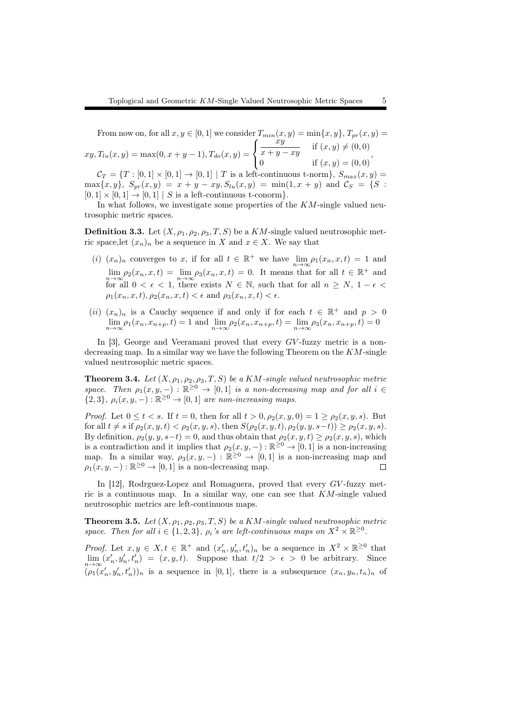From now on, for all  $x, y \in [0, 1]$  we consider  $T_{min}(x, y) = \min\{x, y\}$ ,  $T_{pr}(x, y) =$  $xy, T_{lu}(x, y) = \max(0, x + y - 1), T_{do}(x, y) =$  $\sqrt{ }$  $\frac{1}{2}$  $\mathfrak{t}$  $\grave{x}y$  $\frac{xy}{x+y-xy}$  if  $(x, y) ≠ (0, 0)$ 0 if  $(x, y) = (0, 0)$ ,  $C_T = \{T : [0,1] \times [0,1] \to [0,1] \mid T$  is a left-continuous t-norm},  $S_{max}(x,y) =$ 

 $\max\{x, y\}$ ,  $S_{pr}(x, y) = x + y - xy$ ,  $S_{lu}(x, y) = \min(1, x + y)$  and  $C_S = \{S :$  $[0,1] \times [0,1] \rightarrow [0,1]$  *| S* is a left-continuous t-conorm}.

In what follows, we investigate some properties of the *KM*-single valued neutrosophic metric spaces.

**Definition 3.3.** Let  $(X, \rho_1, \rho_2, \rho_3, T, S)$  be a  $KM$ -single valued neutrosophic metric space, let  $(x_n)_n$  be a sequence in *X* and  $x \in X$ . We say that

- (*i*)  $(x_n)_n$  converges to *x*, if for all  $t \in \mathbb{R}^+$  we have  $\lim_{n \to \infty} \rho_1(x_n, x, t) = 1$  and  $\lim_{n \to \infty} \rho_2(x_n, x, t) = \lim_{n \to \infty} \rho_3(x_n, x, t) = 0$ . It means that for all  $t \in \mathbb{R}^+$  and  $t \to \infty$ for all  $0 < \epsilon < 1$ , there exists  $N \in \mathbb{N}$ , such that for all  $n \geq N$ ,  $1 - \epsilon <$  $\rho_1(x_n, x, t), \rho_2(x_n, x, t) < \epsilon$  and  $\rho_3(x_n, x, t) < \epsilon$ .
- (*ii*)  $(x_n)_n$  is a Cauchy sequence if and only if for each  $t \in \mathbb{R}^+$  and  $p > 0$  $\lim_{n \to \infty} \rho_1(x_n, x_{n+p}, t) = 1$  and  $\lim_{n \to \infty} \rho_2(x_n, x_{n+p}, t) = \lim_{n \to \infty} \rho_3(x_n, x_{n+p}, t) = 0$

In [3], George and Veeramani proved that every *GV* -fuzzy metric is a nondecreasing map. In a similar way we have the following Theorem on the *KM*-single valued neutrosophic metric spaces.

**Theorem 3.4.** *Let*  $(X, \rho_1, \rho_2, \rho_3, T, S)$  *be a KM-single valued neutrosophic metric space.* Then  $\rho_1(x, y, -) : \mathbb{R}^{\geq 0} \to [0, 1]$  *is a non-decreasing map and for all*  $i \in$  ${2, 3}$ *,*  $\rho_i(x, y, -): \mathbb{R}^{\geq 0} \to [0, 1]$  *are non-increasing maps.* 

*Proof.* Let  $0 \le t < s$ . If  $t = 0$ , then for all  $t > 0$ ,  $\rho_2(x, y, 0) = 1 \ge \rho_2(x, y, s)$ . But for all  $t \neq s$  if  $\rho_2(x, y, t) < \rho_2(x, y, s)$ , then  $S(\rho_2(x, y, t), \rho_2(y, y, s-t)) \geq \rho_2(x, y, s)$ . By definition,  $\rho_2(y, y, s-t) = 0$ , and thus obtain that  $\rho_2(x, y, t) \geq \rho_2(x, y, s)$ , which is a contradiction and it implies that  $\rho_2(x, y, -) : \mathbb{R}^{\geq 0} \to [0, 1]$  is a non-increasing map. In a similar way,  $\rho_3(x, y, -) : \mathbb{R}^{\geq 0} \to [0, 1]$  is a non-increasing map and  $\rho_1(x, y, -) : \mathbb{R}^{\geq 0} \to [0, 1]$  is a non-decreasing map.  $\Box$ 

In [12], Rodrguez-Lopez and Romaguera, proved that every *GV* -fuzzy metric is a continuous map. In a similar way, one can see that *KM*-single valued neutrosophic metrics are left-continuous maps.

**Theorem 3.5.** Let  $(X, \rho_1, \rho_2, \rho_3, T, S)$  be a  $KM$ -single valued neutrosophic metric *space. Then for all*  $i \in \{1, 2, 3\}$ ,  $\rho_i$  *'s are left-continuous maps on*  $X^2 \times \mathbb{R}^{\geq 0}$ .

*Proof.* Let  $x, y \in X, t \in \mathbb{R}^+$  and  $(x'_n, y'_n, t'_n)_n$  be a sequence in  $X^2 \times \mathbb{R}^{\geq 0}$  that  $\lim_{n\to\infty} (x'_n, y'_n, t'_n) = (x, y, t)$ . Suppose that  $t/2 > \epsilon > 0$  be arbitrary. Since  $(\rho_1(x'_n, y'_n, t'_n))_n$  is a sequence in [0,1], there is a subsequence  $(x_n, y_n, t_n)_n$  of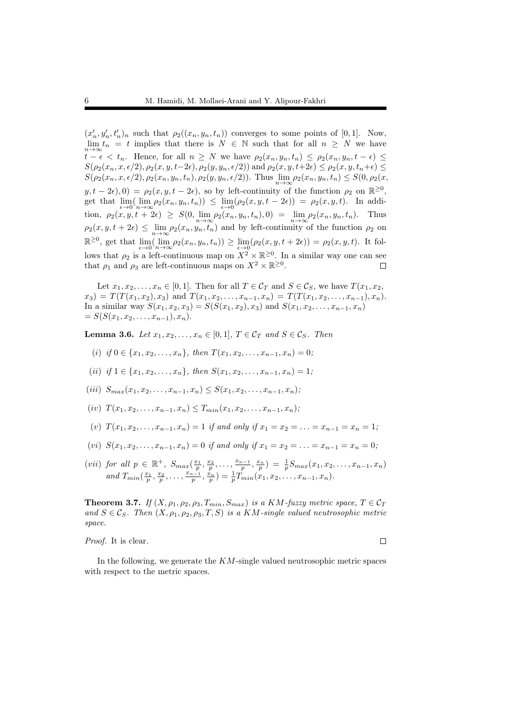$(x'_n, y'_n, t'_n)_n$  such that  $\rho_2((x_n, y_n, t_n))$  converges to some points of [0,1]. Now,  $\lim_{n\to\infty} t_n = t$  implies that there is  $N \in \mathbb{N}$  such that for all  $n \geq N$  we have  $t-\epsilon \leq t_n$ . Hence, for all  $n \geq N$  we have  $\rho_2(x_n, y_n, t_n) \leq \rho_2(x_n, y_n, t-\epsilon) \leq$  $S(\rho_2(x_n, x, \epsilon/2), \rho_2(x, y, t-2\epsilon), \rho_2(y, y_n, \epsilon/2))$  and  $\rho_2(x, y, t+2\epsilon) \leq \rho_2(x, y, t_n+\epsilon) \leq$  $S(\rho_2(x_n, x, \epsilon/2), \rho_2(x_n, y_n, t_n), \rho_2(y, y_n, \epsilon/2)).$  Thus  $\lim_{n \to \infty} \rho_2(x_n, y_n, t_n) \le S(0, \rho_2(x, \epsilon/2))$  $y, t - 2\epsilon$ , 0) =  $\rho_2(x, y, t - 2\epsilon)$ , so by left-continuity of the function  $\rho_2$  on  $\mathbb{R}^{\geq 0}$ , get that  $\lim_{\epsilon \to 0} (\lim_{n \to \infty} \rho_2(x_n, y_n, t_n)) \leq \lim_{\epsilon \to 0} (\rho_2(x, y, t - 2\epsilon)) = \rho_2(x, y, t).$  In addition,  $\rho_2(x, y, t + 2\epsilon) \geq S(0, \lim_{n \to \infty} \rho_2(x_n, y_n, t_n), 0) = \lim_{n \to \infty} \rho_2(x_n, y_n, t_n)$ . Thus  $\rho_2(x, y, t + 2\epsilon) \leq \lim_{n \to \infty} \rho_2(x_n, y_n, t_n)$  and by left-continuity of the function  $\rho_2$  on  $\mathbb{R}^{\geq 0}$ , get that  $\lim_{\epsilon \to 0} (\lim_{n \to \infty} \rho_2(x_n, y_n, t_n)) \geq \lim_{\epsilon \to 0} (\rho_2(x, y, t + 2\epsilon)) = \rho_2(x, y, t)$ . It follows that  $\rho_2$  is a left-continuous map on  $X^2 \times \mathbb{R}^{\geq 0}$ . In a similar way one can see that  $\rho_1$  and  $\rho_3$  are left-continuous maps on  $X^2 \times \mathbb{R}^{\geq 0}$ .  $\Box$ 

Let  $x_1, x_2, \ldots, x_n \in [0, 1]$ . Then for all  $T \in \mathcal{C}_T$  and  $S \in \mathcal{C}_S$ , we have  $T(x_1, x_2, \ldots, x_n)$  $x_3$  =  $T(T(x_1, x_2), x_3)$  and  $T(x_1, x_2, \ldots, x_{n-1}, x_n) = T(T(x_1, x_2, \ldots, x_{n-1}), x_n)$ . In a similar way  $S(x_1, x_2, x_3) = S(S(x_1, x_2), x_3)$  and  $S(x_1, x_2, \ldots, x_{n-1}, x_n)$  $= S(S(x_1, x_2, \ldots, x_{n-1}), x_n).$ 

**Lemma 3.6.** *Let*  $x_1, x_2, ..., x_n$  ∈ [0,1]*,*  $T \in \mathcal{C}_T$  *and*  $S \in \mathcal{C}_S$ *. Then* 

- (*i*) *if*  $0 \in \{x_1, x_2, \ldots, x_n\}$ , then  $T(x_1, x_2, \ldots, x_{n-1}, x_n) = 0$ ;
- (*ii*) *if*  $1 \in \{x_1, x_2, \ldots, x_n\}$ , then  $S(x_1, x_2, \ldots, x_{n-1}, x_n) = 1$ ;
- $(iii)$   $S_{max}(x_1, x_2, \ldots, x_{n-1}, x_n) \leq S(x_1, x_2, \ldots, x_{n-1}, x_n);$
- $(T(x_1, x_2, \ldots, x_{n-1}, x_n) \leq T_{min}(x_1, x_2, \ldots, x_{n-1}, x_n);$
- (*v*)  $T(x_1, x_2, \ldots, x_{n-1}, x_n) = 1$  *if and only if*  $x_1 = x_2 = \ldots = x_{n-1} = x_n = 1$ ;
- (*vi*)  $S(x_1, x_2, \ldots, x_{n-1}, x_n) = 0$  *if and only if*  $x_1 = x_2 = \ldots = x_{n-1} = x_n = 0$ ;
- (vii) for all  $p \in \mathbb{R}^+$ ,  $S_{max}(\frac{x_1}{p}, \frac{x_2}{p}, \ldots, \frac{x_{n-1}}{p}, \frac{x_n}{p}) = \frac{1}{p} S_{max}(x_1, x_2, \ldots, x_{n-1}, x_n)$ and  $T_{min}(\frac{x_1}{p}, \frac{x_2}{p}, \ldots, \frac{x_{n-1}}{p}, \frac{x_n}{p}) = \frac{1}{p}T_{min}(x_1, x_2, \ldots, x_{n-1}, x_n).$

**Theorem 3.7.** *If*  $(X, \rho_1, \rho_2, \rho_3, T_{min}, S_{max})$  *is a KM*-fuzzy metric space,  $T \in C_T$ *and*  $S \in \mathcal{C}_S$ *. Then*  $(X, \rho_1, \rho_2, \rho_3, T, S)$  *is a KM-single valued neutrosophic metric space.*

*Proof.* It is clear.

 $\Box$ 

In the following, we generate the *KM*-single valued neutrosophic metric spaces with respect to the metric spaces.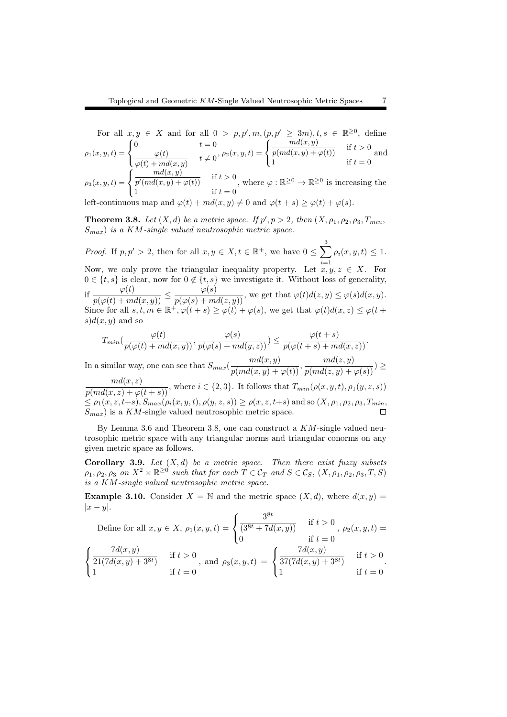For all  $x, y \in X$  and for all  $0 > p, p', m, (p, p' \ge 3m), t, s \in \mathbb{R}^{\ge 0}$ , define  $\rho_1(x,y,t) =$  $\sqrt{ }$  $\mathsf{I}$  $\mathbf{I}$ 0  $t = 0$ *φ*(*t*)  $\frac{\varphi(t)}{\varphi(t) + md(x, y)}$   $t \neq 0, \ \rho_2(x, y, t) =$  $\sqrt{ }$  $\mathbf{J}$  $\mathbf{I}$  $\frac{md(x,y)}{p(md(x,y) + \varphi(t))}$  if  $t > 0$ 1 if  $t = 0$ and  $\rho_3(x,y,t) =$  $\sqrt{ }$ J *md*(*x, y*)  $\frac{m\alpha(x, y)}{p'(md(x, y) + \varphi(t))}$  if  $t > 0$ , where  $\varphi : \mathbb{R}^{\geq 0} \to \mathbb{R}^{\geq 0}$  is increasing the

 $\mathbf{I}$ 1 if  $t = 0$ left-continuous map and  $\varphi(t) + md(x, y) \neq 0$  and  $\varphi(t + s) \geq \varphi(t) + \varphi(s)$ .

**Theorem 3.8.** Let  $(X, d)$  be a metric space. If  $p', p > 2$ , then  $(X, \rho_1, \rho_2, \rho_3, T_{min},$ *Smax*) *is a KM-single valued neutrosophic metric space.*

*Proof.* If  $p, p' > 2$ , then for all  $x, y \in X, t \in \mathbb{R}^+$ , we have  $0 \le \sum_{i=1}^{3}$ *i*=1  $\rho_i(x, y, t) \leq 1.$ Now, we only prove the triangular inequality property. Let  $\overline{x}, y, z \in X$ . For  $0 \in \{t, s\}$  is clear, now for  $0 \notin \{t, s\}$  we investigate it. Without loss of generality, if  $\frac{\varphi(t)}{p(\varphi(t) + md(x, y))} \leq \frac{\varphi(s)}{p(\varphi(s) + md(z, y))}$ , we get that  $\varphi(t)d(z, y) \leq \varphi(s)d(x, y)$ . Since for all  $s, t, m \in \mathbb{R}^+, \varphi(t+s) \geq \varphi(t) + \varphi(s)$ , we get that  $\varphi(t)d(x, z) \leq \varphi(t+s)$  $s) d(x, y)$  and so

$$
T_{min}(\frac{\varphi(t)}{p(\varphi(t)+md(x,y))},\frac{\varphi(s)}{p(\varphi(s)+md(y,z))})\leq \frac{\varphi(t+s)}{p(\varphi(t+s)+md(x,z))}.
$$

In a similar way, one can see that  $S_{max}(\frac{md(x,y)}{p(md(x,y)+\varphi(t))}, \frac{md(z,y)}{p(md(z,y)+\varphi(s))}) \ge$ 

 $\frac{md(x, z)}{p(md(x, z) + \varphi(t+s))}$ , where  $i \in \{2, 3\}$ . It follows that  $T_{min}(\rho(x, y, t), \rho_1(y, z, s))$  $\leq \rho_1(x, z, t+s), S_{max}(\rho_i(x, y, t), \rho(y, z, s)) \geq \rho(x, z, t+s)$  and so  $(X, \rho_1, \rho_2, \rho_3, T_{min},$ *Smax*) is a *KM*-single valued neutrosophic metric space.

By Lemma 3.6 and Theorem 3.8, one can construct a *KM*-single valued neutrosophic metric space with any triangular norms and triangular conorms on any given metric space as follows.

Corollary 3.9. *Let* (*X, d*) *be a metric space. Then there exist fuzzy subsets*  $\rho_1, \rho_2, \rho_3$  *on*  $X^2 \times \mathbb{R}^{\geq 0}$  *such that for each*  $T \in \mathcal{C}_T$  *and*  $S \in \mathcal{C}_S$ *,*  $(X, \rho_1, \rho_2, \rho_3, T, S)$ *is a KM-single valued neutrosophic metric space.*

**Example 3.10.** Consider  $X = \mathbb{N}$  and the metric space  $(X, d)$ , where  $d(x, y) =$ *|x − y|*.

Define for all 
$$
x, y \in X
$$
,  $\rho_1(x, y, t) = \begin{cases} \frac{3^{8t}}{(3^{8t} + 7d(x, y))} & \text{if } t > 0 \\ 0 & \text{if } t = 0 \end{cases}$ ,  $\rho_2(x, y, t) = \begin{cases} \frac{7d(x, y)}{21(7d(x, y) + 3^{8t})} & \text{if } t > 0 \\ 1 & \text{if } t = 0 \end{cases}$ , and  $\rho_3(x, y, t) = \begin{cases} \frac{7d(x, y)}{37(7d(x, y) + 3^{8t})} & \text{if } t > 0 \\ 1 & \text{if } t = 0 \end{cases}$ .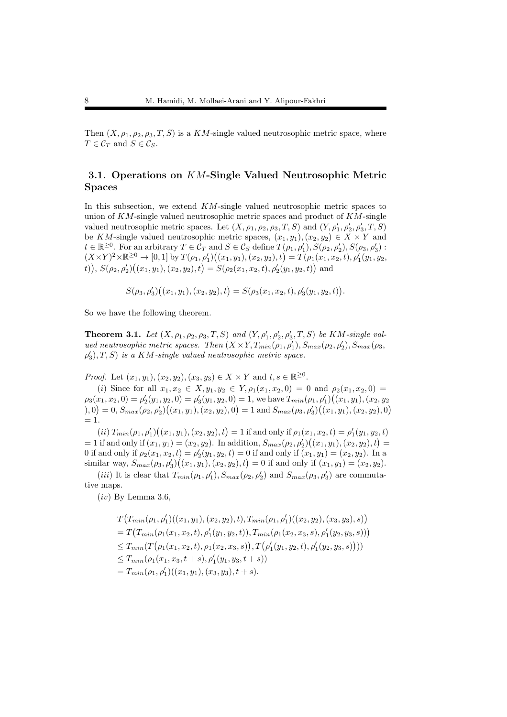Then  $(X, \rho_1, \rho_2, \rho_3, T, S)$  is a *KM*-single valued neutrosophic metric space, where  $T \in \mathcal{C}_T$  and  $S \in \mathcal{C}_S$ .

### 3.1. Operations on *KM*-Single Valued Neutrosophic Metric Spaces

In this subsection, we extend *KM*-single valued neutrosophic metric spaces to union of *KM*-single valued neutrosophic metric spaces and product of *KM*-single valued neutrosophic metric spaces. Let  $(X, \rho_1, \rho_2, \rho_3, T, S)$  and  $(Y, \rho'_1, \rho'_2, \rho'_3, T, S)$ be *KM*-single valued neutrosophic metric spaces,  $(x_1, y_1), (x_2, y_2) \in X \times Y$  and  $t \in \mathbb{R}^{\geq 0}$ . For an arbitrary  $T \in \mathcal{C}_T$  and  $S \in \mathcal{C}_S$  define  $T(\rho_1, \rho'_1), S(\rho_2, \rho'_2), S(\rho_3, \rho'_3)$ :  $\ell \in \mathbb{R}^+$ . For an arbitrary  $T \in C_T$  and  $S \in C_S$  define  $T(\ell_1, \ell_1), S(\ell_2, \ell_2), S(\ell_3, \ell_3)$ :<br> $(X \times Y)^2 \times \mathbb{R}^{\geq 0} \to [0, 1]$  by  $T(\ell_1, \ell_1')((x_1, y_1), (x_2, y_2), t) = T(\ell_1(x_1, x_2, t), \ell_1'(y_1, y_2, t))$ t),  $S(\rho_2, \rho'_2)((x_1, y_1), (x_2, y_2), t) = S(\rho_2(x_1, x_2, t), \rho'_2(y_1, y_2, t))$  and

$$
S(\rho_3, \rho'_3)\big((x_1, y_1), (x_2, y_2), t\big) = S(\rho_3(x_1, x_2, t), \rho'_3(y_1, y_2, t)).
$$

So we have the following theorem.

**Theorem 3.1.** Let  $(X, \rho_1, \rho_2, \rho_3, T, S)$  and  $(Y, \rho'_1, \rho'_2, \rho'_3, T, S)$  be  $KM$ -single val*ued neutrosophic metric spaces. Then*  $(X \times Y, T_{min}(\rho_1, \rho'_1), S_{max}(\rho_2, \rho'_2), S_{max}(\rho_3,$  $\rho'_{3}$ , *T*, *S*) *is a KM*-single valued neutrosophic metric space.

*Proof.* Let  $(x_1, y_1)$ ,  $(x_2, y_2)$ ,  $(x_3, y_3) \in X \times Y$  and  $t, s \in \mathbb{R}^{\geq 0}$ .

(*i*) Since for all  $x_1, x_2 \in X, y_1, y_2 \in Y, \rho_1(x_1, x_2, 0) = 0$  and  $\rho_2(x_1, x_2, 0) = 0$  $\rho_3(x_1, x_2, 0) = \rho'_2(y_1, y_2, 0) = \rho'_3(y_1, y_2, 0) = 1$ , we have  $T_{min}(\rho_1, \rho'_1)((x_1, y_1), (x_2, y_2))$  $(0,0) = 0, S_{max}(\rho_2, \rho'_2)((x_1, y_1), (x_2, y_2), 0) = 1$  and  $S_{max}(\rho_3, \rho'_3)((x_1, y_1), (x_2, y_2), 0)$  $= 1.$ 

(ii)  $T_{min}(\rho_1, \rho'_1)((x_1, y_1), (x_2, y_2), t) = 1$  if and only if  $\rho_1(x_1, x_2, t) = \rho'_1(y_1, y_2, t)$  $= 1$  if and only if  $(x_1, y_1) = (x_2, y_2)$ . In addition,  $S_{max}(\rho_2, \rho'_2)((x_1, y_1), (x_2, y_2), t) =$ 0 if and only if  $\rho_2(x_1, x_2, t) = \rho'_2(y_1, y_2, t) = 0$  if and only if  $(x_1, y_1) = (x_2, y_2)$ . In a similar way,  $S_{max}(\rho_3, \rho'_3)((x_1, y_1), (x_2, y_2), t) = 0$  if and only if  $(x_1, y_1) = (x_2, y_2)$ .

(*iii*) It is clear that  $T_{min}(\rho_1, \rho'_1), S_{max}(\rho_2, \rho'_2)$  and  $S_{max}(\rho_3, \rho'_3)$  are commutative maps.

(*iv*) By Lemma 3.6,

$$
T(T_{min}(\rho_1, \rho'_1)((x_1, y_1), (x_2, y_2), t), T_{min}(\rho_1, \rho'_1)((x_2, y_2), (x_3, y_3), s))
$$
  
=  $T(T_{min}(\rho_1(x_1, x_2, t), \rho'_1(y_1, y_2, t)), T_{min}(\rho_1(x_2, x_3, s), \rho'_1(y_2, y_3, s)))$   
 $\leq T_{min}(T(\rho_1(x_1, x_2, t), \rho_1(x_2, x_3, s)), T(\rho'_1(y_1, y_2, t), \rho'_1(y_2, y_3, s))))$   
 $\leq T_{min}(\rho_1(x_1, x_3, t + s), \rho'_1(y_1, y_3, t + s))$   
=  $T_{min}(\rho_1, \rho'_1)((x_1, y_1), (x_3, y_3), t + s).$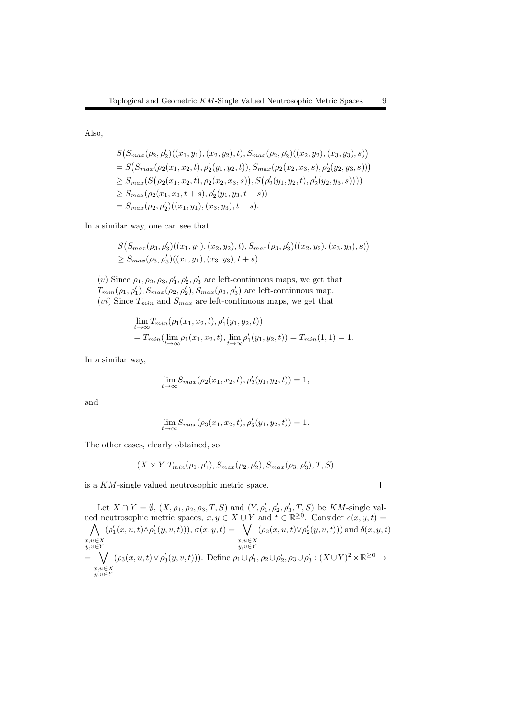Also,

$$
S(S_{max}(\rho_2, \rho'_2)((x_1, y_1), (x_2, y_2), t), S_{max}(\rho_2, \rho'_2)((x_2, y_2), (x_3, y_3), s))
$$
  
=  $S(S_{max}(\rho_2(x_1, x_2, t), \rho'_2(y_1, y_2, t)), S_{max}(\rho_2(x_2, x_3, s), \rho'_2(y_2, y_3, s)))$   
 $\geq S_{max}(S(\rho_2(x_1, x_2, t), \rho_2(x_2, x_3, s)), S(\rho'_2(y_1, y_2, t), \rho'_2(y_2, y_3, s))))$   
 $\geq S_{max}(\rho_2(x_1, x_3, t + s), \rho'_2(y_1, y_3, t + s))$   
=  $S_{max}(\rho_2, \rho'_2)((x_1, y_1), (x_3, y_3), t + s).$ 

In a similar way, one can see that

$$
S(S_{max}(\rho_3, \rho'_3)((x_1, y_1), (x_2, y_2), t), S_{max}(\rho_3, \rho'_3)((x_2, y_2), (x_3, y_3), s))
$$
  
\n
$$
\geq S_{max}(\rho_3, \rho'_3)((x_1, y_1), (x_3, y_3), t + s).
$$

(*v*) Since  $\rho_1, \rho_2, \rho_3, \rho'_1, \rho'_2, \rho'_3$  are left-continuous maps, we get that  $T_{min}(\rho_1, \rho'_1), S_{max}(\rho_2, \rho'_2), S_{max}(\rho_3, \rho'_3)$  are left-continuous map.  $(vi)$  Since  $T_{min}$  and  $S_{max}$  are left-continuous maps, we get that

$$
\lim_{t \to \infty} T_{min}(\rho_1(x_1, x_2, t), \rho'_1(y_1, y_2, t))
$$
  
=  $T_{min}(\lim_{t \to \infty} \rho_1(x_1, x_2, t), \lim_{t \to \infty} \rho'_1(y_1, y_2, t)) = T_{min}(1, 1) = 1.$ 

In a similar way,

$$
\lim_{t \to \infty} S_{max}(\rho_2(x_1, x_2, t), \rho'_2(y_1, y_2, t)) = 1,
$$

and

$$
\lim_{t \to \infty} S_{max}(\rho_3(x_1, x_2, t), \rho'_3(y_1, y_2, t)) = 1.
$$

The other cases, clearly obtained, so

$$
(X \times Y, T_{min}(\rho_1, \rho'_1), S_{max}(\rho_2, \rho'_2), S_{max}(\rho_3, \rho'_3), T, S)
$$

is a *KM*-single valued neutrosophic metric space.

Let  $X \cap Y = \emptyset$ ,  $(X, \rho_1, \rho_2, \rho_3, T, S)$  and  $(Y, \rho'_1, \rho'_2, \rho'_3, T, S)$  be  $KM$ -single valued neutrosophic metric spaces,  $x, y \in X \cup Y$  and  $t \in \mathbb{R}^{\geq 0}$ . Consider  $\epsilon(x, y, t) =$  $\bigwedge \quad (\rho'_1(x, u, t) \wedge \rho'_1(y, v, t))), \sigma(x, y, t) = \bigvee$  $x, u \in X$ <br> $y, v \in Y$ *y,v∈Y y,v∈Y x,u∈X*  $(\rho_2(x, u, t) \lor \rho'_2(y, v, t))$  and  $\delta(x, y, t)$ = ∨ *x,u∈X y,v∈Y*  $(\rho_3(x, u, t) \vee \rho'_3(y, v, t)))$ . Define  $\rho_1 \cup \rho'_1$ ,  $\rho_2 \cup \rho'_2$ ,  $\rho_3 \cup \rho'_3$  :  $(X \cup Y)^2 \times \mathbb{R}^{\geq 0}$   $\rightarrow$ 

 $\Box$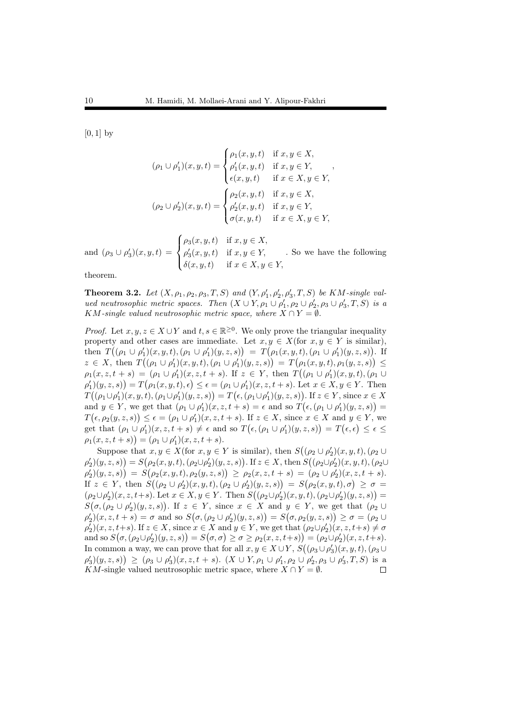[0*,* 1] by

$$
(\rho_1 \cup \rho'_1)(x, y, t) = \begin{cases} \rho_1(x, y, t) & \text{if } x, y \in X, \\ \rho'_1(x, y, t) & \text{if } x, y \in Y, \\ \epsilon(x, y, t) & \text{if } x \in X, y \in Y, \end{cases}
$$

$$
(\rho_2 \cup \rho'_2)(x, y, t) = \begin{cases} \rho_2(x, y, t) & \text{if } x, y \in X, \\ \rho'_2(x, y, t) & \text{if } x, y \in Y, \\ \sigma(x, y, t) & \text{if } x \in X, y \in Y, \end{cases}
$$

and  $(\rho_3 \cup \rho'_3)(x, y, t) =$  $\sqrt{ }$  $\frac{1}{2}$  $\mathcal{L}$  $\rho_3(x, y, t)$  if  $x, y \in X$ ,  $\rho'_{3}(x, y, t)$  if  $x, y \in Y$ ,  $\delta(x, y, t)$  if  $x \in X, y \in Y$ , *.* So we have the following

theorem.

**Theorem 3.2.** Let  $(X, \rho_1, \rho_2, \rho_3, T, S)$  and  $(Y, \rho'_1, \rho'_2, \rho'_3, T, S)$  be  $KM$ -single val*ued neutrosophic metric spaces. Then*  $(X \cup Y, \rho_1 \cup \rho'_1, \rho_2 \cup \rho'_2, \rho_3 \cup \rho'_3, T, S)$  *is a KM*-single valued neutrosophic metric space, where  $X \cap Y = \emptyset$ .

*Proof.* Let  $x, y, z \in X \cup Y$  and  $t, s \in \mathbb{R}^{\geq 0}$ . We only prove the triangular inequality property and other cases are immediate. Let  $x, y \in X$  (for  $x, y \in Y$  is similar), then  $T((\rho_1 \cup \rho'_1)(x, y, t), (\rho_1 \cup \rho'_1)(y, z, s)) = T(\rho_1(x, y, t), (\rho_1 \cup \rho'_1)(y, z, s)).$  If  $z \in X$ , then  $T((\rho_1 \cup \rho'_1)(x, y, t), (\rho_1 \cup \rho'_1)(y, z, s)) = T(\rho_1(x, y, t), \rho_1(y, z, s)) \le$  $\rho_1(x, z, t + s) = (\rho_1 \cup \rho'_1)(x, z, t + s)$ . If  $z \in Y$ , then  $T((\rho_1 \cup \rho'_1)(x, y, t), (\rho_1 \cup$  $\rho'_1(x,y,z,s) = T(\rho_1(x,y,t), \epsilon) \leq \epsilon = (\rho_1 \cup \rho'_1)(x,z,t+s)$ . Let  $x \in X, y \in Y$ . Then  $T((\rho_1 \cup \rho'_1)(x, y, t), (\rho_1 \cup \rho'_1)(y, z, s)) = T(\epsilon, (\rho_1 \cup \rho'_1)(y, z, s)).$  If  $z \in Y$ , since  $x \in X$ and  $y \in Y$ , we get that  $(\rho_1 \cup \rho'_1)(x, z, t + s) = \epsilon$  and so  $T(\epsilon, (\rho_1 \cup \rho'_1)(y, z, s)) =$  $T(\epsilon, \rho_2(y, z, s)) \leq \epsilon = (\rho_1 \cup \rho'_1)(x, z, t + s)$ . If  $z \in X$ , since  $x \in X$  and  $y \in Y$ , we get that  $(\rho_1 \cup \rho'_1)(x, z, t + s) \neq \epsilon$  and so  $T(\epsilon, (\rho_1 \cup \rho'_1)(y, z, s)) = T(\epsilon, \epsilon) \leq \epsilon \leq$  $\rho_1(x, z, t + s)$ ) =  $(\rho_1 \cup \rho'_1)(x, z, t + s)$ .

Suppose that  $x, y \in X$  (for  $x, y \in Y$  is similar), then  $S((\rho_2 \cup \rho_2')(x, y, t), (\rho_2 \cup$  $\rho'_2)(y, z, s) = S(\rho_2(x, y, t), (\rho_2 \cup \rho'_2)(y, z, s))$ . If  $z \in X$ , then  $S((\rho_2 \cup \rho'_2)(x, y, t), (\rho_2 \cup$  $\rho_2')(y,z,s) \Big) \,=\, S\big(\rho_2(x,y,t),\rho_2(y,z,s)\big) \,\geq\, \rho_2(x,z,t+s) \,=\, (\rho_2 \cup \rho_2')(x,z,t+s).$ If  $z \in Y$ , then  $S((\rho_2 \cup \rho'_2)(x, y, t), (\rho_2 \cup \rho'_2)(y, z, s)) = S(\rho_2(x, y, t), \sigma) \ge \sigma =$  $(\rho_2 \cup \rho'_2)(x, z, t + s)$ . Let  $x \in X, y \in Y$ . Then  $S((\rho_2 \cup \rho'_2)(x, y, t), (\rho_2 \cup \rho'_2)(y, z, s)) =$  $S(\sigma, (\rho_2 \cup \rho_2')(y, z, s))$ . If  $z \in Y$ , since  $x \in X$  and  $y \in Y$ , we get that  $(\rho_2 \cup Y)$  $\rho'_2(x, z, t + s) = \sigma$  and so  $S(\sigma, (\rho_2 \cup \rho'_2)(y, z, s)) = S(\sigma, \rho_2(y, z, s)) \ge \sigma = (\rho_2 \cup$  $\rho'_2(x, z, t+s)$ . If  $z \in X$ , since  $x \in X$  and  $y \in Y$ , we get that  $(\rho_2 \cup \rho'_2)(x, z, t+s) \neq \sigma$ and so  $S(\sigma, (\rho_2 \cup \rho'_2)(y, z, s)) = S(\sigma, \sigma) \ge \sigma \ge \rho_2(x, z, t + s)) = (\rho_2 \cup \rho'_2)(x, z, t + s).$ In common a way, we can prove that for all  $x, y \in X \cup Y$ ,  $S((\rho_3 \cup \rho'_3)(x, y, t), (\rho_3 \cup$  $(\rho'_3)(y,z,s)$   $\geq$   $(\rho_3 \cup \rho'_3)(x,z,t+s)$ .  $(X \cup Y, \rho_1 \cup \rho'_1, \rho_2 \cup \rho'_2, \rho_3 \cup \rho'_3, T, S)$  is a *KM*-single valued neutrosophic metric space, where  $X \cap Y = \emptyset$ .  $\Box$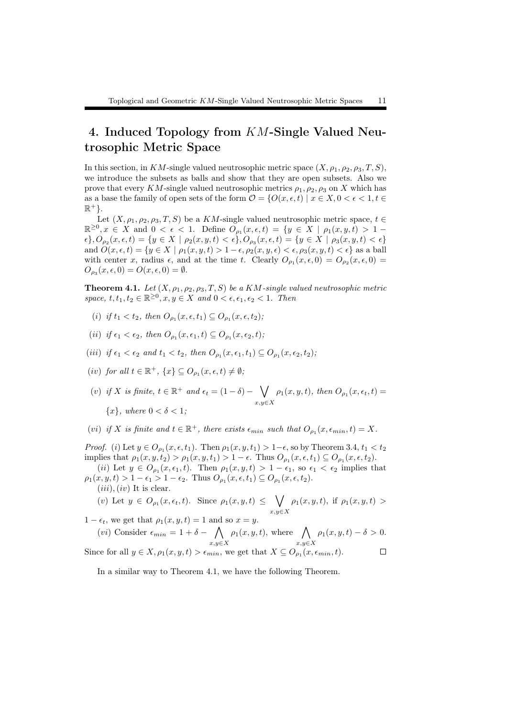## 4. Induced Topology from *KM*-Single Valued Neutrosophic Metric Space

In this section, in *KM*-single valued neutrosophic metric space  $(X, \rho_1, \rho_2, \rho_3, T, S)$ , we introduce the subsets as balls and show that they are open subsets. Also we prove that every *KM*-single valued neutrosophic metrics  $\rho_1, \rho_2, \rho_3$  on *X* which has as a base the family of open sets of the form  $\mathcal{O} = \{O(x, \epsilon, t) \mid x \in X, 0 < \epsilon < 1, t \in \mathcal{O} \}$ R <sup>+</sup>*}*.

Let  $(X, \rho_1, \rho_2, \rho_3, T, S)$  be a *KM*-single valued neutrosophic metric space,  $t \in$  $\mathbb{R}^{\geq 0}, x \in X$  and  $0 < \epsilon < 1$ . Define  $O_{\rho_1}(x, \epsilon, t) = \{y \in X \mid \rho_1(x, y, t) > 1 \{\epsilon\}, O_{\rho_2}(x, \epsilon, t) = \{y \in X \mid \rho_2(x, y, t) < \epsilon\}, O_{\rho_3}(x, \epsilon, t) = \{y \in X \mid \rho_3(x, y, t) < \epsilon\}$ and  $O(x, \epsilon, t) = \{y \in X \mid \rho_1(x, y, t) > 1 - \epsilon, \rho_2(x, y, \epsilon) < \epsilon, \rho_3(x, y, t) < \epsilon\}$  as a ball with center *x*, radius  $\epsilon$ , and at the time *t*. Clearly  $O_{\rho_1}(x,\epsilon,0) = O_{\rho_2}(x,\epsilon,0)$  $O_{\rho_3}(x,\epsilon,0) = O(x,\epsilon,0) = \emptyset.$ 

**Theorem 4.1.** Let  $(X, \rho_1, \rho_2, \rho_3, T, S)$  be a  $KM$ -single valued neutrosophic metric *space,*  $t, t_1, t_2 \in \mathbb{R}^{\geq 0}, x, y \in X$  *and*  $0 < \epsilon, \epsilon_1, \epsilon_2 < 1$ *. Then* 

- $(i)$  *if*  $t_1 < t_2$ *, then*  $O_{\rho_1}(x, \epsilon, t_1) \subseteq O_{\rho_1}(x, \epsilon, t_2)$ ;
- $(iii)$  *if*  $\epsilon_1 < \epsilon_2$ , then  $O_{\rho_1}(x, \epsilon_1, t) \subseteq O_{\rho_1}(x, \epsilon_2, t)$ ;
- $(iii)$  if  $\epsilon_1 < \epsilon_2$  and  $t_1 < t_2$ , then  $O_{\rho_1}(x, \epsilon_1, t_1) \subseteq O_{\rho_1}(x, \epsilon_2, t_2)$ ;
- $(iv)$  *for all*  $t \in \mathbb{R}^+$ ,  $\{x\} \subseteq O_{\rho_1}(x, \epsilon, t) \neq \emptyset$ ;

 $(v)$  *if X is finite,*  $t \in \mathbb{R}^+$  *and*  $\epsilon_t = (1 - \delta) - \sqrt{\frac{1}{t}}$ *x,y∈X*  $\rho_1(x, y, t)$ *, then*  $O_{\rho_1}(x, \epsilon_t, t)$  = *{x}, where* 0 *< δ <* 1*;*

(*vi*) *if*  $X$  *is finite and*  $t \in \mathbb{R}^+$ , *there exists*  $\epsilon_{min}$  *such that*  $O_{\rho_1}(x, \epsilon_{min}, t) = X$ *.* 

*Proof.* (*i*) Let  $y \in O_{\rho_1}(x, \epsilon, t_1)$ . Then  $\rho_1(x, y, t_1) > 1 - \epsilon$ , so by Theorem 3.4,  $t_1 < t_2$ implies that  $\rho_1(x, y, t_2) > \rho_1(x, y, t_1) > 1 - \epsilon$ . Thus  $O_{\rho_1}(x, \epsilon, t_1) \subseteq O_{\rho_1}(x, \epsilon, t_2)$ .

 $(iii)$  Let  $y \in O_{\rho_1}(x, \epsilon_1, t)$ . Then  $\rho_1(x, y, t) > 1 - \epsilon_1$ , so  $\epsilon_1 < \epsilon_2$  implies that  $\rho_1(x, y, t) > 1 - \epsilon_1 > 1 - \epsilon_2$ . Thus  $O_{\rho_1}(x, \epsilon, t_1) \subseteq O_{\rho_1}(x, \epsilon, t_2)$ .

$$
(iii), (iv) It is clear.
$$

(v) Let 
$$
y \in O_{\rho_1}(x, \epsilon_t, t)
$$
. Since  $\rho_1(x, y, t) \leq \bigvee_{x, y \in X} \rho_1(x, y, t)$ , if  $\rho_1(x, y, t) >$ 

1 −  $\epsilon_t$ , we get that  $ρ_1(x, y, t) = 1$  and so  $x = y$ .

$$
(vi) \text{ Consider } \epsilon_{min} = 1 + \delta - \bigwedge_{x,y \in X} \rho_1(x, y, t), \text{ where } \bigwedge_{x,y \in X} \rho_1(x, y, t) - \delta > 0.
$$
  
Since for all  $y \in X$ ,  $\rho_1(x, y, t) > \epsilon_{min}$ , we get that  $X \subseteq O_{\rho_1}(x, \epsilon_{min}, t)$ .

In a similar way to Theorem 4.1, we have the following Theorem.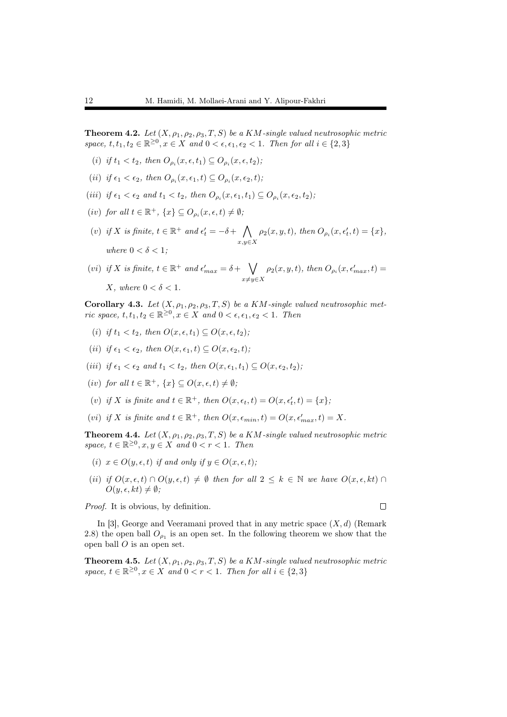**Theorem 4.2.** *Let*  $(X, \rho_1, \rho_2, \rho_3, T, S)$  *be a KM*-single valued neutrosophic metric *space,*  $t, t_1, t_2 \in \mathbb{R}^{\geq 0}, x \in X$  *and*  $0 < \epsilon, \epsilon_1, \epsilon_2 < 1$ *. Then for all*  $i \in \{2, 3\}$ 

- $(i)$  *if*  $t_1 < t_2$ *, then*  $O_{\rho_i}(x, \epsilon, t_1) \subseteq O_{\rho_i}(x, \epsilon, t_2)$ ;
- $(iii)$  *if*  $\epsilon_1 < \epsilon_2$ , then  $O_{\rho_i}(x, \epsilon_1, t) \subseteq O_{\rho_i}(x, \epsilon_2, t)$ ;
- $(iii)$  *if*  $\epsilon_1 < \epsilon_2$  *and*  $t_1 < t_2$ *, then*  $O_{\rho_i}(x, \epsilon_1, t_1) \subseteq O_{\rho_i}(x, \epsilon_2, t_2)$ ;
- $(iv)$  *for all*  $t \in \mathbb{R}^+$ ,  $\{x\} \subseteq O_{\rho_i}(x, \epsilon, t) \neq \emptyset$ ;
- (*v*) *if X is finite,*  $t \in \mathbb{R}^+$  *and*  $\epsilon'_t = -\delta + \bigwedge$ *x,y∈X*  $\rho_2(x, y, t)$ *, then*  $O_{\rho_i}(x, \epsilon'_t, t) = \{x\}$ *, where*  $0 < \delta < 1$ *:*

(vi) if X is finite, 
$$
t \in \mathbb{R}^+
$$
 and  $\epsilon'_{max} = \delta + \bigvee_{x \neq y \in X} \rho_2(x, y, t)$ , then  $O_{\rho_i}(x, \epsilon'_{max}, t) = X$ , where  $0 < \delta < 1$ .

Corollary 4.3. Let  $(X, \rho_1, \rho_2, \rho_3, T, S)$  be a KM-single valued neutrosophic met*ric space,*  $t, t_1, t_2 \in \mathbb{R}^{\geq 0}, x \in X$  *and*  $0 < \epsilon, \epsilon_1, \epsilon_2 < 1$ *. Then* 

- (*i*) *if*  $t_1 < t_2$ , then  $O(x, \epsilon, t_1) \subset O(x, \epsilon, t_2)$ ;
- (*ii*) *if*  $\epsilon_1 < \epsilon_2$ , then  $O(x, \epsilon_1, t) \subseteq O(x, \epsilon_2, t)$ ;
- $(iii)$  *if*  $\epsilon_1 < \epsilon_2$  *and*  $t_1 < t_2$ *, then*  $O(x, \epsilon_1, t_1) \subseteq O(x, \epsilon_2, t_2)$ ;
- $(iv)$  *for all*  $t \in \mathbb{R}^+$ ,  $\{x\} \subseteq O(x, \epsilon, t) \neq \emptyset$ ;
- $(v)$  *if*  $X$  *is finite and*  $t \in \mathbb{R}^+$ *, then*  $O(x, \epsilon_t, t) = O(x, \epsilon'_t, t) = \{x\}$ ;
- $(vi)$  *if*  $X$  *is finite and*  $t \in \mathbb{R}^+$ *, then*  $O(x, \epsilon_{min}, t) = O(x, \epsilon'_{max}, t) = X$ .

**Theorem 4.4.** Let  $(X, \rho_1, \rho_2, \rho_3, T, S)$  be a  $KM$ -single valued neutrosophic metric *space,*  $t \in \mathbb{R}^{\geq 0}, x, y \in X$  *and*  $0 < r < 1$ *. Then* 

- (*i*)  $x \in O(y, \epsilon, t)$  *if and only if*  $y \in O(x, \epsilon, t)$ ;
- (*ii*) *if*  $O(x, \epsilon, t) \cap O(y, \epsilon, t) \neq \emptyset$  then for all  $2 \leq k \in \mathbb{N}$  we have  $O(x, \epsilon, kt) \cap$  $O(y, \epsilon, kt) \neq \emptyset$ ;

*Proof.* It is obvious, by definition.

In [3], George and Veeramani proved that in any metric space (*X, d*) (Remark 2.8) the open ball  $O_{\rho_1}$  is an open set. In the following theorem we show that the open ball *O* is an open set.

**Theorem 4.5.** *Let*  $(X, \rho_1, \rho_2, \rho_3, T, S)$  *be a KM*-single valued neutrosophic metric *space,*  $t \in \mathbb{R}^{\geq 0}, x \in X$  *and*  $0 < r < 1$ *. Then for all*  $i \in \{2, 3\}$ 

 $\Box$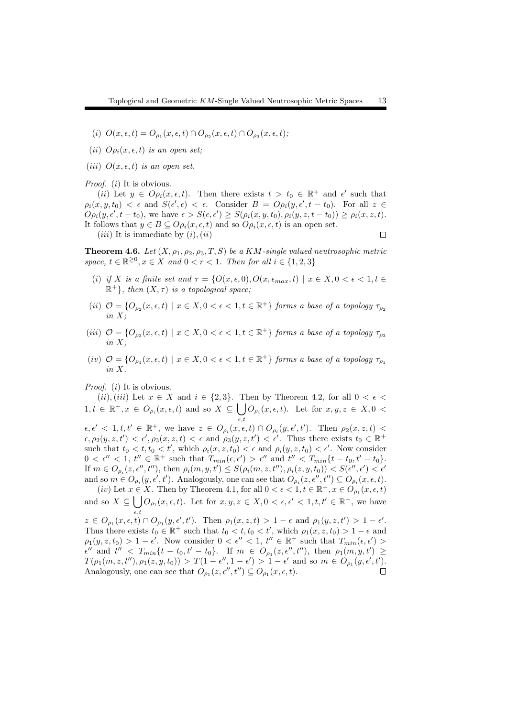- $(i)$   $O(x, \epsilon, t) = O_{\rho_1}(x, \epsilon, t) \cap O_{\rho_2}(x, \epsilon, t) \cap O_{\rho_3}(x, \epsilon, t);$
- (*ii*)  $O_{\rho_i}(x, \epsilon, t)$  *is an open set*;
- (*iii*)  $O(x, \epsilon, t)$  *is an open set.*

*Proof.* (*i*) It is obvious.

(*ii*) Let  $y \in O_{\rho_i}(x,\epsilon,t)$ . Then there exists  $t > t_0 \in \mathbb{R}^+$  and  $\epsilon'$  such that  $\rho_i(x, y, t_0) < \epsilon$  and  $S(\epsilon', \epsilon) < \epsilon$ . Consider  $B = Op_i(y, \epsilon', t - t_0)$ . For all  $z \in$  $O \rho_i(y, \epsilon', t - t_0)$ , we have  $\epsilon > S(\epsilon, \epsilon') \geq S(\rho_i(x, y, t_0), \rho_i(y, z, t - t_0)) \geq \rho_i(x, z, t)$ . It follows that  $y \in B \subseteq Op_i(x, \epsilon, t)$  and so  $Op_i(x, \epsilon, t)$  is an open set.  $(iii)$  It is immediate by  $(i)$ ,  $(ii)$  $\Box$ 

**Theorem 4.6.** Let  $(X, \rho_1, \rho_2, \rho_3, T, S)$  be a  $KM$ -single valued neutrosophic metric *space,*  $t \in \mathbb{R}^{\geq 0}, x \in X$  *and*  $0 < r < 1$ *. Then for all*  $i \in \{1, 2, 3\}$ 

- (*i*) *if X is a finite set and*  $\tau = \{O(x, \epsilon, 0), O(x, \epsilon_{max}, t) \mid x \in X, 0 < \epsilon < 1, t \in \mathbb{R}\}$  $\mathbb{R}^+$ }*, then*  $(X, \tau)$  *is a topological space*;
- (*ii*)  $\mathcal{O} = \{O_{\rho_2}(x,\epsilon,t) \mid x \in X, 0 < \epsilon < 1, t \in \mathbb{R}^+\}$  forms a base of a topology  $\tau_{\rho_2}$ *in X;*
- $(iii)$   $\mathcal{O} = \{O_{\rho_3}(x,\epsilon,t) \mid x \in X, 0 < \epsilon < 1, t \in \mathbb{R}^+\}$  forms a base of a topology  $\tau_{\rho_3}$ *in X;*
- $(iv)$   $\mathcal{O} = \{O_{\rho_1}(x,\epsilon,t) \mid x \in X, 0 < \epsilon < 1, t \in \mathbb{R}^+\}$  forms a base of a topology  $\tau_{\rho_1}$ *in X.*

*Proof.* (*i*) It is obvious.

 $(iii)$ ,  $(iii)$  Let  $x \in X$  and  $i \in \{2,3\}$ . Then by Theorem 4.2, for all  $0 < \epsilon <$  $1, t \in \mathbb{R}^+, x \in O_{\rho_i}(x, \epsilon, t)$  and so  $X \subseteq \bigcup O_{\rho_i}(x, \epsilon, t)$ . Let for  $x, y, z \in X, 0$ *ϵ,t*  $\epsilon, \epsilon' < 1, t, t' \in \mathbb{R}^+,$  we have  $z \in O_{\rho_i}(x, \epsilon, t) \cap O_{\rho_i}(y, \epsilon', t')$ . Then  $\rho_2(x, z, t) <$  $\epsilon, \rho_2(y, z, t') < \epsilon', \rho_3(x, z, t) < \epsilon$  and  $\rho_3(y, z, t') < \epsilon'$ . Thus there exists  $t_0 \in \mathbb{R}^+$ such that  $t_0 < t, t_0 < t'$ , which  $\rho_i(x, z, t_0) < \epsilon$  and  $\rho_i(y, z, t_0) < \epsilon'$ . Now consider  $0 < \epsilon'' < 1$ ,  $t'' \in \mathbb{R}^+$  such that  $T_{min}(\epsilon, \epsilon') > \epsilon''$  and  $t'' < T_{min}\{t - t_0, t' - t_0\}.$ If  $m \in O_{\rho_i}(z, \epsilon'', t'')$ , then  $\rho_i(m, y, t') \leq S(\rho_i(m, z, t''), \rho_i(z, y, t_0)) < S(\epsilon'', \epsilon') < \epsilon'$ 

and so  $m \in O_{\rho_i}(y, \epsilon', t')$ . Analogously, one can see that  $O_{\rho_i}(z, \epsilon'', t'') \subseteq O_{\rho_i}(x, \epsilon, t)$ .  $(iv)$  Let  $x \in X$ . Then by Theorem 4.1, for all  $0 < \epsilon < 1, t \in \mathbb{R}^+, x \in O_{\rho_1}(x, \epsilon, t)$ 

and so  $X \subseteq \bigcup_{\rho_1}(x,\epsilon,t)$ . Let for  $x, y, z \in X, 0 < \epsilon, \epsilon' < 1, t, t' \in \mathbb{R}^+,$  we have *ϵ,t*

 $z \in O_{\rho_1}(x,\epsilon,t) \cap O_{\rho_1}(y,\epsilon',t')$ . Then  $\rho_1(x,z,t) > 1 - \epsilon$  and  $\rho_1(y,z,t') > 1 - \epsilon'$ . Thus there exists  $t_0 \in \mathbb{R}^+$  such that  $t_0 < t, t_0 < t'$ , which  $\rho_1(x, z, t_0) > 1 - \epsilon$  and  $\rho_1(y, z, t_0) > 1 - \epsilon'$ . Now consider  $0 < \epsilon'' < 1$ ,  $t'' \in \mathbb{R}^+$  such that  $T_{min}(\epsilon, \epsilon') >$  $\epsilon''$  and  $t'' < T_{min}\{t - t_0, t' - t_0\}$ . If  $m \in O_{\rho_1}(z, \epsilon'', t'')$ , then  $\rho_1(m, y, t') \ge$  $T(\rho_1(m,z,t''),\rho_1(z,y,t_0)) > T(1-\epsilon'',1-\epsilon') > 1-\epsilon'$  and so  $m \in O_{\rho_1}(y,\epsilon',t').$ Analogously, one can see that  $O_{\rho_1}(z, \epsilon'', t'') \subseteq O_{\rho_1}(x, \epsilon, t)$ .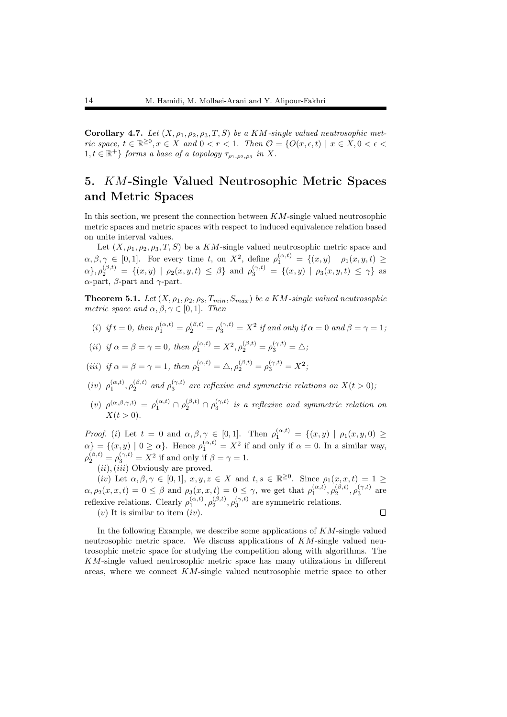Corollary 4.7. Let  $(X, \rho_1, \rho_2, \rho_3, T, S)$  be a KM-single valued neutrosophic met*ric space,*  $t \in \mathbb{R}^{\geq 0}, x \in X$  and  $0 < r < 1$ . Then  $\mathcal{O} = \{O(x, \epsilon, t) \mid x \in X, 0 < \epsilon <$  $1, t \in \mathbb{R}^+$ } *forms a base of a topology*  $\tau_{\rho_1, \rho_2, \rho_3}$  *in X*.

## 5. *KM*-Single Valued Neutrosophic Metric Spaces and Metric Spaces

In this section, we present the connection between *KM*-single valued neutrosophic metric spaces and metric spaces with respect to induced equivalence relation based on unite interval values.

Let  $(X, \rho_1, \rho_2, \rho_3, T, S)$  be a *KM*-single valued neutrosophic metric space and  $\alpha, \beta, \gamma \in [0, 1]$ . For every time *t*, on  $X^2$ , define  $\rho_1^{(\alpha, t)} = \{(x, y) | \rho_1(x, y, t) \geq 0\}$  $\alpha$ ,  $\rho_2^{(\beta,t)} = \{(x,y) | \rho_2(x,y,t) \leq \beta\}$  and  $\rho_3^{(\gamma,t)} = \{(x,y) | \rho_3(x,y,t) \leq \gamma\}$  as *α*-part, *β*-part and *γ*-part.

**Theorem 5.1.** Let  $(X, \rho_1, \rho_2, \rho_3, T_{min}, S_{max})$  be a KM-single valued neutrosophic *metric space and*  $\alpha, \beta, \gamma \in [0, 1]$ *. Then* 

(*i*) *if*  $t = 0$ , then  $\rho_1^{(\alpha,t)} = \rho_2^{(\beta,t)} = \rho_3^{(\gamma,t)} = X^2$  *if and only if*  $\alpha = 0$  *and*  $\beta = \gamma = 1$ ;

(*ii*) if 
$$
\alpha = \beta = \gamma = 0
$$
, then  $\rho_1^{(\alpha,t)} = X^2$ ,  $\rho_2^{(\beta,t)} = \rho_3^{(\gamma,t)} = \Delta$ ;

(iii) if 
$$
\alpha = \beta = \gamma = 1
$$
, then  $\rho_1^{(\alpha, t)} = \Delta$ ,  $\rho_2^{(\beta, t)} = \rho_3^{(\gamma, t)} = X^2$ ;

- $(iv)$   $\rho_1^{(\alpha,t)}, \rho_2^{(\beta,t)}$  and  $\rho_3^{(\gamma,t)}$  are reflexive and symmetric relations on  $X(t>0)$ ;
- $(v)$   $\rho^{(\alpha,\beta,\gamma,t)} = \rho_1^{(\alpha,t)} \cap \rho_2^{(\beta,t)} \cap \rho_3^{(\gamma,t)}$  *is a reflexive and symmetric relation on*  $X(t > 0)$ .

*Proof.* (*i*) Let  $t = 0$  and  $\alpha, \beta, \gamma \in [0, 1]$ . Then  $\rho_1^{(\alpha, t)} = \{(x, y) | \rho_1(x, y, 0) \ge$  $\alpha$ *}* = {(*x, y*) | 0 ≥  $\alpha$ *}*. Hence  $\rho_1^{(\alpha,t)} = X^2$  if and only if  $\alpha = 0$ . In a similar way,  $\rho_2^{(\beta,t)} = \rho_3^{(\gamma,t)} = X^2$  if and only if  $\beta = \gamma = 1$ .

(*ii*)*,*(*iii*) Obviously are proved.

 $(iv)$  Let  $\alpha, \beta, \gamma \in [0,1], x, y, z \in X$  and  $t, s \in \mathbb{R}^{\geq 0}$ . Since  $\rho_1(x, x, t) = 1 \geq 1$  $\alpha, \rho_2(x, x, t) = 0 \le \beta$  and  $\rho_3(x, x, t) = 0 \le \gamma$ , we get that  $\rho_1^{(\alpha, t)}, \rho_2^{(\beta, t)}, \rho_3^{(\gamma, t)}$  are reflexive relations. Clearly  $\rho_1^{(\alpha,t)}, \rho_2^{(\beta,t)}, \rho_3^{(\gamma,t)}$  are symmetric relations.  $\Box$ 

 $(v)$  It is similar to item  $(iv)$ .

In the following Example, we describe some applications of *KM*-single valued neutrosophic metric space. We discuss applications of *KM*-single valued neutrosophic metric space for studying the competition along with algorithms. The *KM*-single valued neutrosophic metric space has many utilizations in different areas, where we connect *KM*-single valued neutrosophic metric space to other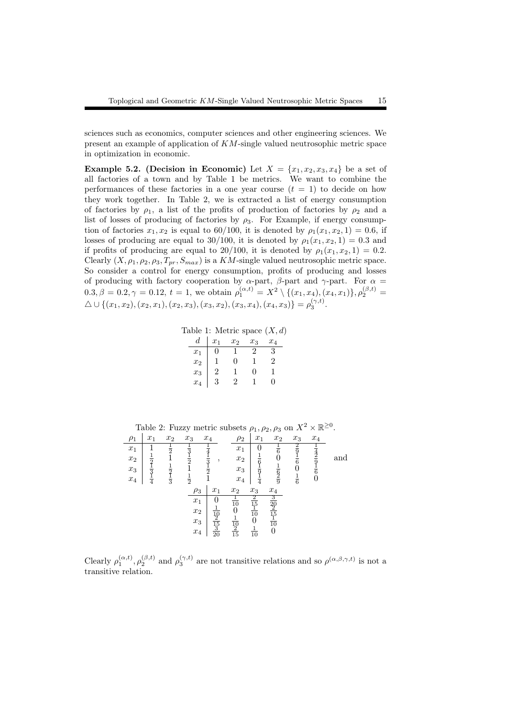sciences such as economics, computer sciences and other engineering sciences. We present an example of application of *KM*-single valued neutrosophic metric space in optimization in economic.

**Example 5.2.** (Decision in Economic) Let  $X = \{x_1, x_2, x_3, x_4\}$  be a set of all factories of a town and by Table 1 be metrics. We want to combine the performances of these factories in a one year course  $(t = 1)$  to decide on how they work together. In Table 2, we is extracted a list of energy consumption of factories by  $\rho_1$ , a list of the profits of production of factories by  $\rho_2$  and a list of losses of producing of factories by *ρ*3. For Example, if energy consumption of factories  $x_1, x_2$  is equal to 60/100, it is denoted by  $\rho_1(x_1, x_2, 1) = 0.6$ , if losses of producing are equal to 30/100, it is denoted by  $\rho_1(x_1, x_2, 1) = 0.3$  and if profits of producing are equal to 20/100, it is denoted by  $\rho_1(x_1, x_2, 1) = 0.2$ . Clearly  $(X, \rho_1, \rho_2, \rho_3, T_{pr}, S_{max})$  is a *KM*-single valued neutrosophic metric space. So consider a control for energy consumption, profits of producing and losses of producing with factory cooperation by  $\alpha$ -part,  $\beta$ -part and  $\gamma$ -part. For  $\alpha$  $0.3, \beta = 0.2, \gamma = 0.12, t = 1$ , we obtain  $\rho_1^{(\alpha, t)} = X^2 \setminus \{(x_1, x_4), (x_4, x_1)\}, \rho_2^{(\beta, t)} =$  $\triangle \cup \{(x_1, x_2), (x_2, x_1), (x_2, x_3), (x_3, x_2), (x_3, x_4), (x_4, x_3)\} = \rho_3^{(\gamma, t)}.$ 

Table 1: Metric space (*X, d*)

| d.    | $x_1$ | $x_2$        | $x_3$ | $x_4$ |
|-------|-------|--------------|-------|-------|
| $x_1$ | 0     |              | 2     | 3     |
| $x_2$ |       | 0            | ı.    | 2     |
| $x_3$ | 2     |              | 0     | 1     |
| $x_4$ | 3     | $\mathbf{2}$ |       | 0     |

|          |               |                         |                         | Lable 2. Fuzzy metric subsets $p_1, p_2, p_3$ on $\Lambda$ |                                       |                               |                                  |               | ᄉ ᅭ   |     |
|----------|---------------|-------------------------|-------------------------|------------------------------------------------------------|---------------------------------------|-------------------------------|----------------------------------|---------------|-------|-----|
| $\rho_1$ | $x_1$         | $x_2$                   | $x_3$                   | $x_4$                                                      | $\rho_2$                              | $x_1$                         | $x_2$                            | $x_3$         | $x_4$ |     |
| $x_1$    |               | $\frac{1}{2}$           | $\overline{\mathbf{3}}$ |                                                            | $x_1$                                 |                               |                                  |               |       |     |
| $x_2$    | $\frac{1}{2}$ |                         | $\frac{1}{2}$           | $\frac{1}{3}$<br>,                                         | $x_2$                                 | $\frac{1}{6}$                 |                                  |               |       | and |
| $x_3$    | $\frac{1}{3}$ |                         |                         | $\frac{1}{2}$                                              | $x_3$                                 |                               |                                  |               |       |     |
| $x_4$    | $\frac{1}{4}$ | $rac{1}{2}$ $rac{1}{3}$ | $\frac{1}{2}$           |                                                            | $x_4$                                 |                               | $rac{1}{9}$                      | $\frac{1}{6}$ |       |     |
|          |               |                         | $\rho_3$                | $x_1$                                                      | $x_2$                                 | $x_3$                         | $x_4$                            |               |       |     |
|          |               |                         | $x_1$                   |                                                            | $rac{1}{10}$                          |                               |                                  |               |       |     |
|          |               |                         | $\boldsymbol{x}_2$      |                                                            | 0                                     | $\frac{2}{15}$ $\frac{1}{10}$ | $\frac{3}{20}$<br>$\frac{2}{15}$ |               |       |     |
|          |               |                         | $x_3$                   | $\frac{10}{2}$                                             |                                       | 0                             | $\overline{10}$                  |               |       |     |
|          |               |                         | $\boldsymbol{x}_4$      | $\frac{15}{3}$                                             | $\frac{\overline{10}}{\overline{15}}$ | $\overline{10}$               | 0                                |               |       |     |
|          |               |                         |                         |                                                            |                                       |                               |                                  |               |       |     |

Table 2: Fuzzy metric subsets  $\rho_1, \rho_2, \rho_3$  on  $X^2 \times \mathbb{R}^{\geq 0}$ .

Clearly  $\rho_1^{(\alpha,t)}$ ,  $\rho_2^{(\beta,t)}$  and  $\rho_3^{(\gamma,t)}$  are not transitive relations and so  $\rho^{(\alpha,\beta,\gamma,t)}$  is not a transitive relation.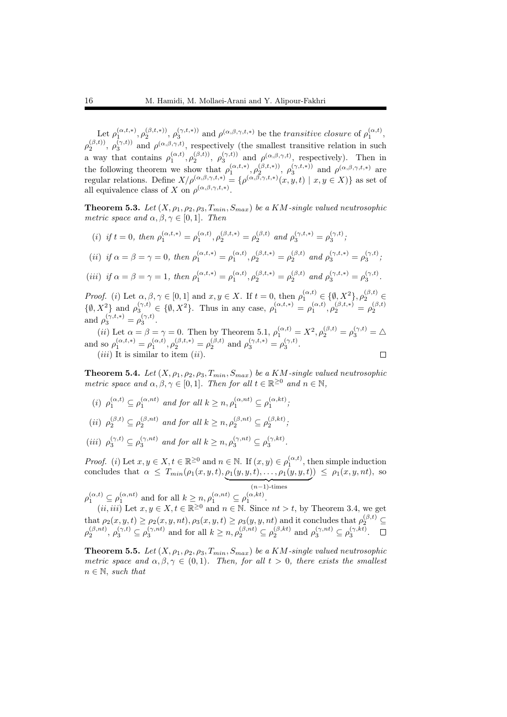Let  $\rho_1^{(\alpha,t,*)}, \rho_2^{(\beta,t,*)}, \rho_3^{(\gamma,t,*)}$  and  $\rho^{(\alpha,\beta,\gamma,t,*)}$  be the *transitive closure* of  $\rho_1^{(\alpha,t)},$  $\rho_2^{(\beta,t)}$ ,  $\rho_3^{(\gamma,t)}$  and  $\rho^{(\alpha,\beta,\gamma,t)}$ , respectively (the smallest transitive relation in such a way that contains  $\rho_1^{(\alpha,t)}, \rho_2^{(\beta,t)}$ ,  $\rho_3^{(\gamma,t)}$  and  $\rho^{(\alpha,\beta,\gamma,t)}$ , respectively). Then in the following theorem we show that  $\rho_1^{(\alpha,t,*)}$ ,  $\rho_2^{(\beta,t,*)}$ ,  $\rho_3^{(\gamma,t,*)}$  and  $\rho^{(\alpha,\beta,\gamma,t,*)}$  are regular relations. Define  $X/\rho^{(\alpha,\beta,\gamma,t,*)} = {\rho^{(\alpha,\beta,\gamma,t,*)}(x,y,t) | x, y \in X}$  as set of all equivalence class of *X* on  $\rho^{(\alpha,\beta,\gamma,t,*)}$ .

**Theorem 5.3.** Let  $(X, \rho_1, \rho_2, \rho_3, T_{min}, S_{max})$  be a KM-single valued neutrosophic *metric space and*  $\alpha, \beta, \gamma \in [0, 1]$ *. Then* 

(i) if 
$$
t = 0
$$
, then  $\rho_1^{(\alpha, t, *)} = \rho_1^{(\alpha, t)}, \rho_2^{(\beta, t, *)} = \rho_2^{(\beta, t)}$  and  $\rho_3^{(\gamma, t, *)} = \rho_3^{(\gamma, t)}$ ;  
\n(ii) if  $\alpha = \beta = \gamma = 0$ , then  $\rho_1^{(\alpha, t, *)} = \rho_1^{(\alpha, t)}, \rho_2^{(\beta, t, *)} = \rho_2^{(\beta, t)}$  and  $\rho_3^{(\gamma, t, *)} = \rho_3^{(\gamma, t)}$ ;

(iii) if 
$$
\alpha = \beta = \gamma = 1
$$
, then  $\rho_1^{(\alpha, t, *)} = \rho_1^{(\alpha, t)}, \rho_2^{(\beta, t, *)} = \rho_2^{(\beta, t)}$  and  $\rho_3^{(\gamma, t, *)} = \rho_3^{(\gamma, t)}$ .

*Proof.* (*i*) Let  $\alpha, \beta, \gamma \in [0, 1]$  and  $x, y \in X$ . If  $t = 0$ , then  $\rho_1^{(\alpha, t)} \in \{\emptyset, X^2\}, \rho_2^{(\beta, t)} \in$  $\{\emptyset, X^2\}$  and  $\rho_3^{(\gamma,t)} \in \{\emptyset, X^2\}$ . Thus in any case,  $\rho_1^{(\alpha,t,*)} = \rho_1^{(\alpha,t)}, \rho_2^{(\beta,t,*)} = \rho_2^{(\beta,t)}$ and  $\rho_3^{(\gamma, t, *)} = \rho_3^{(\gamma, t)}.$ 3

(*ii*) Let  $\alpha = \beta = \gamma = 0$ . Then by Theorem 5.1,  $\rho_1^{(\alpha,t)} = X^2, \rho_2^{(\beta,t)} = \rho_3^{(\gamma,t)} = \Delta$ and so  $\rho_1^{(\alpha,t,*)} = \rho_1^{(\alpha,t)}, \rho_2^{(\beta,t,*)} = \rho_2^{(\beta,t)}$  and  $\rho_3^{(\gamma,t,*)} = \rho_3^{(\gamma,t)}$ . (*iii*) It is similar to item (*ii*).  $\Box$ 

**Theorem 5.4.** Let  $(X, \rho_1, \rho_2, \rho_3, T_{min}, S_{max})$  be a KM-single valued neutrosophic *metric space and*  $\alpha, \beta, \gamma \in [0, 1]$ *. Then for all*  $t \in \mathbb{R}^{\geq 0}$  *and*  $n \in \mathbb{N}$ *,* 

- (*i*)  $\rho_1^{(\alpha,t)} \subseteq \rho_1^{(\alpha, nt)}$  and for all  $k \geq n, \rho_1^{(\alpha, nt)} \subseteq \rho_1^{(\alpha, kt)}$ ;
- $(iii)$   $\rho_2^{(\beta,t)} \subseteq \rho_2^{(\beta,nt)}$  and for all  $k \geq n, \rho_2^{(\beta,nt)} \subseteq \rho_2^{(\beta,kt)}$ ;
- $(iii)$   $\rho_3^{(\gamma,t)} \subseteq \rho_3^{(\gamma,nt)}$  and for all  $k \geq n, \rho_3^{(\gamma,nt)} \subseteq \rho_3^{(\gamma,kt)}$ .

*Proof.* (*i*) Let  $x, y \in X$ ,  $t \in \mathbb{R}^{\geq 0}$  and  $n \in \mathbb{N}$ . If  $(x, y) \in \rho_1^{(\alpha, t)}$ , then simple induction  $T_{1}$  *T*<sub>1</sub> (*t*) Let  $x, y \in A, t \in \mathbb{N}$  and  $n \in \mathbb{N}$ . If  $(x, y) \in \rho_1$ ,  $y, y$ , then concludes that  $\alpha \leq T_{min}(\rho_1(x, y, t), \rho_1(y, y, t), \ldots, \rho_1(y, y, t)$  $) \leq \rho_1(x, y, nt)$ , so

| {z } (*n−*1)-times  $\rho_1^{(\alpha,t)} \subseteq \rho_1^{(\alpha, nt)}$  and for all  $k \geq n, \rho_1^{(\alpha, nt)} \subseteq \rho_1^{(\alpha, kt)}$ .

 $(i i, i ii)$  Let  $x, y \in X, t \in \mathbb{R}^{\geq 0}$  and  $n \in \mathbb{N}$ . Since  $nt > t$ , by Theorem 3.4, we get that  $\rho_2(x, y, t) \geq \rho_2(x, y, nt), \rho_3(x, y, t) \geq \rho_3(y, y, nt)$  and it concludes that  $\rho_2^{(\beta, t)} \subseteq$  $\rho_2^{(\beta, nt)}, \rho_3^{(\gamma,t)} \subseteq \rho_3^{(\gamma, nt)}$  and for all  $k \geq n, \rho_2^{(\beta, nt)} \subseteq \rho_2^{(\beta, kt)}$  and  $\rho_3^{(\gamma, nt)} \subseteq \rho_3^{(\gamma, kt)}$ .

**Theorem 5.5.** Let  $(X, \rho_1, \rho_2, \rho_3, T_{min}, S_{max})$  be a KM-single valued neutrosophic *metric space and*  $\alpha, \beta, \gamma \in (0,1)$ *. Then, for all*  $t > 0$ *, there exists the smallest n ∈* N*, such that*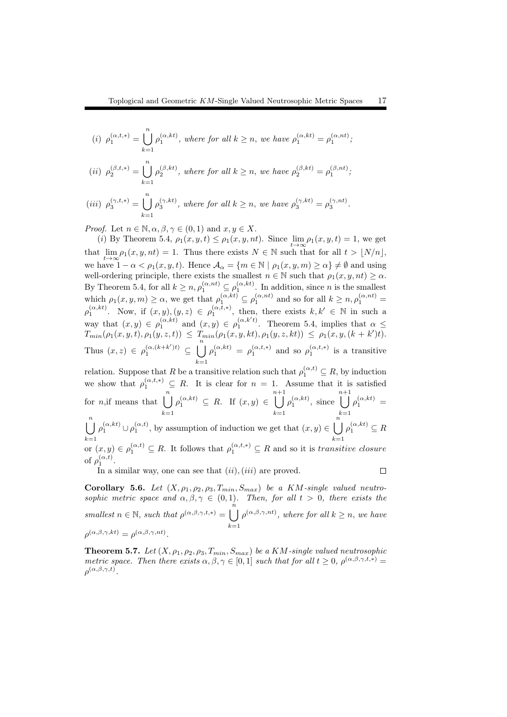(i) 
$$
\rho_1^{(\alpha,t,*)} = \bigcup_{k=1}^n \rho_1^{(\alpha,kt)}
$$
, where for all  $k \ge n$ , we have  $\rho_1^{(\alpha,kt)} = \rho_1^{(\alpha, nt)}$ ;

$$
(ii) \ \ \rho_2^{(\beta,t,*)} = \bigcup_{k=1}^n \rho_2^{(\beta,kt)}, \ \textit{where for all} \ k \geq n, \ \textit{we have} \ \ \rho_2^{(\beta,kt)} = \rho_1^{(\beta,nt)};
$$

$$
(iii) \ \ \rho_3^{(\gamma,t,*)} = \bigcup_{k=1}^n \rho_3^{(\gamma,kt)}, \ where \ for \ all \ k \geq n, \ we \ have \ \rho_3^{(\gamma,kt)} = \rho_3^{(\gamma,nt)}.
$$

*Proof.* Let  $n \in \mathbb{N}, \alpha, \beta, \gamma \in (0,1)$  and  $x, y \in X$ .

(*i*) By Theorem 5.4,  $\rho_1(x, y, t) \leq \rho_1(x, y, nt)$ . Since  $\lim_{t \to \infty} \rho_1(x, y, t) = 1$ , we get that  $\lim_{t\to\infty} \rho_1(x, y, nt) = 1$ . Thus there exists  $N \in \mathbb{N}$  such that for all  $t > \lfloor N/n \rfloor$ , we have  $1 - \alpha < \rho_1(x, y, t)$ . Hence  $\mathcal{A}_\alpha = \{m \in \mathbb{N} \mid \rho_1(x, y, m) \ge \alpha\} \ne \emptyset$  and using well-ordering principle, there exists the smallest  $n \in \mathbb{N}$  such that  $\rho_1(x, y, nt) \ge \alpha$ . By Theorem 5.4, for all  $k \geq n, \rho_1^{(\alpha, nt)} \subseteq \rho_1^{(\alpha, kt)}$ . In addition, since *n* is the smallest which  $\rho_1(x, y, m) \ge \alpha$ , we get that  $\rho_1^{(\alpha,kt)} \subseteq \rho_1^{(\alpha, nt)}$  and so for all  $k \ge n$ ,  $\rho_1^{(\alpha, nt)} =$  $\rho_1^{(\alpha,kt)}$ . Now, if  $(x, y), (y, z) \in \rho_1^{(\alpha, t, *)}$ , then, there exists  $k, k' \in \mathbb{N}$  in such a way that  $(x, y) \in \rho_1^{(\alpha,kt)}$  and  $(x, y) \in \rho_1^{(\alpha, k't)}$ . Theorem 5.4, implies that  $\alpha \leq$  $T_{min}(\rho_1(x, y, t), \rho_1(y, z, t)) \leq T_{min}(\rho_1(x, y, kt), \rho_1(y, z, kt)) \leq \rho_1(x, y, (k + k')t).$ Thus  $(x, z) \in \rho_1^{(\alpha, (k+k')t)} \subseteq \bigcup^n$ *k*=1  $\rho_1^{(\alpha,kt)} = \rho_1^{(\alpha,t,*)}$  and so  $\rho_1^{(\alpha,t,*)}$  is a transitive relation. Suppose that *R* be a transitive relation such that  $\rho_1^{(\alpha,t)} \subseteq R$ , by induction we show that  $\rho_1^{(\alpha,t,*)} \subseteq R$ . It is clear for  $n = 1$ . Assume that it is satisfied for *n*,if means that  $\begin{bmatrix} n \\ n \end{bmatrix}$ *k*=1  $\rho_1^{(\alpha,kt)} \subseteq R$ . If  $(x,y) \in \bigcup^{n+1}$ *k*=1  $\rho_1^{(\alpha,kt)}$ , since  $\bigcup^{n+1}$ *k*=1  $\rho_1^{(\alpha,kt)}$  = ∪*n k*=1  $\rho_1^{(\alpha,kt)} \cup \rho_1^{(\alpha,t)}$ , by assumption of induction we get that  $(x, y) \in \bigcup^{n}$ *k*=1  $\rho_1^{(\alpha,kt)} \subseteq R$ 

or  $(x, y) \in \rho_1^{(\alpha, t)} \subseteq R$ . It follows that  $\rho_1^{(\alpha, t, *)} \subseteq R$  and so it is *transitive closure* of  $\rho_1^{(\alpha,t)}$ .  $\Box$ 

In a similar way, one can see that (*ii*)*,*(*iii*) are proved.

Corollary 5.6. Let  $(X, \rho_1, \rho_2, \rho_3, T_{min}, S_{max})$  be a KM-single valued neutro*sophic metric space and*  $\alpha, \beta, \gamma \in (0,1)$ *. Then, for all*  $t > 0$ *, there exists the smallest*  $n \in \mathbb{N}$ *, such that*  $\rho^{(\alpha,\beta,\gamma,t,*)} = \bigcup_{n=0}^{\infty}$ *k*=1  $\rho^{(\alpha,\beta,\gamma,nt)}$ , where for all  $k \geq n$ , we have  $\rho^{(\alpha,\beta,\gamma,kt)} = \rho^{(\alpha,\beta,\gamma,nt)}.$ 

**Theorem 5.7.** *Let*  $(X, \rho_1, \rho_2, \rho_3, T_{min}, S_{max})$  *be a KM*-single valued neutrosophic *metric space. Then there exists*  $\alpha, \beta, \gamma \in [0, 1]$  *such that for all*  $t \geq 0$ ,  $\rho^{(\alpha, \beta, \gamma, t, *)} =$  $\rho^{(\alpha,\beta,\gamma,t)}.$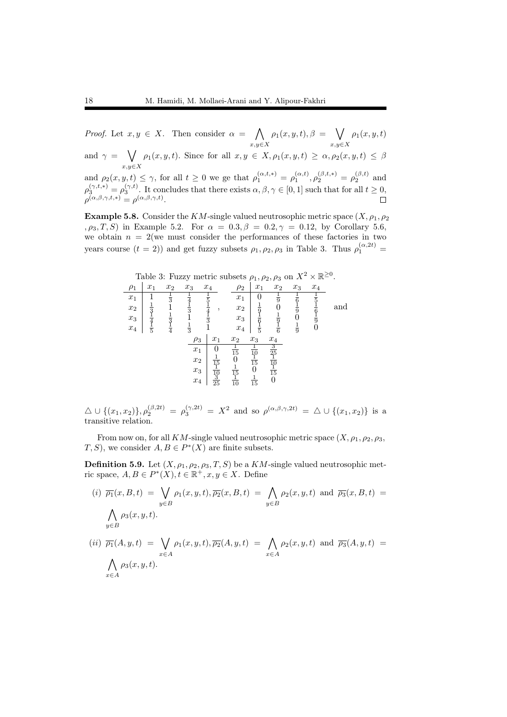*Proof.* Let  $x, y \in X$ . Then consider  $\alpha = \bigwedge$ *x,y∈X*  $\rho_1(x, y, t), \beta = \sqrt{}$ *x,y∈X*  $\rho_1(x,y,t)$ and  $\gamma = \sqrt{ }$ *x,y∈X*  $\rho_1(x, y, t)$ *.* Since for all  $x, y \in X$ ,  $\rho_1(x, y, t) \geq \alpha$ ,  $\rho_2(x, y, t) \leq \beta$ and  $\rho_2(x, y, t) \leq \gamma$ , for all  $t \geq 0$  we ge that  $\rho_1^{(\alpha, t, *)} = \rho_1^{(\alpha, t)}, \rho_2^{(\beta, t, *)} = \rho_2^{(\beta, t)}$  and  $\rho_3^{(\gamma,t,*)} = \rho_3^{(\gamma,t)}$ . It concludes that there exists  $\alpha, \beta, \gamma \in [0,1]$  such that for all  $t \ge 0$ ,  $\rho^{(\alpha,\beta,\gamma,t,*)} = \rho^{(\alpha,\beta,\gamma,t)}.$ 

**Example 5.8.** Consider the *KM*-single valued neutrosophic metric space  $(X, \rho_1, \rho_2)$ *,*  $\rho_3$ *, T, S*) in Example 5.2. For  $\alpha = 0.3, \beta = 0.2, \gamma = 0.12$ , by Corollary 5.6, we obtain  $n = 2$  (we must consider the performances of these factories in two years course  $(t = 2)$ ) and get fuzzy subsets  $\rho_1, \rho_2, \rho_3$  in Table 3. Thus  $\rho_1^{(\alpha, 2t)}$ 

| Table 3: Fuzzy metric subsets $\rho_1, \rho_2, \rho_3$ on $X^2 \times \mathbb{R}^{\geq 0}$ . |               |               |               |                 |                           |                 |                                            |                |               |     |
|----------------------------------------------------------------------------------------------|---------------|---------------|---------------|-----------------|---------------------------|-----------------|--------------------------------------------|----------------|---------------|-----|
| $\rho_1$                                                                                     | $x_1$         | $x_2$         | $x_3$         | $x_4$           | $\rho_2$                  | $x_1$           | $x_2$                                      | $x_3$          | $x_4$         |     |
| $x_1$                                                                                        |               | $\frac{1}{3}$ |               |                 | $x_1$                     |                 | $\frac{1}{9}$                              |                |               |     |
| $x_2$                                                                                        | $\frac{1}{3}$ |               | $\frac{1}{3}$ | ٠               | $x_2$                     | $\frac{1}{9}$   |                                            | $\overline{9}$ |               | and |
| $x_3$                                                                                        |               | $\frac{1}{3}$ |               | $\frac{1}{3}$   | $x_3$                     |                 | $\frac{1}{9}$                              |                | $\frac{1}{9}$ |     |
| $x_4$                                                                                        |               | $\frac{1}{4}$ | $\frac{1}{3}$ |                 | $x_4$                     |                 |                                            | $\frac{1}{9}$  |               |     |
|                                                                                              |               |               | $\rho_3$      | $x_1$           | $x_2$                     | $x_3$           | $x_4$                                      |                |               |     |
|                                                                                              |               |               | $x_1$         |                 | $\frac{1}{15}$            |                 | $\overline{\mathbf{3}}$<br>$\overline{25}$ |                |               |     |
|                                                                                              |               |               | $x_2$         | $\overline{15}$ |                           | $\frac{10}{15}$ | $\overline{10}$                            |                |               |     |
|                                                                                              |               |               | $x_3$         |                 | $\overline{\frac{15}{1}}$ |                 | $\overline{15}$                            |                |               |     |
|                                                                                              |               |               | $x_4$         | $\frac{10}{25}$ | $\overline{10}$           | $\overline{15}$ |                                            |                |               |     |
|                                                                                              |               |               |               |                 |                           |                 |                                            |                |               |     |

 $\Delta \cup \{(x_1, x_2)\}, \rho_2^{(\beta, 2t)} = \rho_3^{(\gamma, 2t)} = X^2$  and so  $\rho^{(\alpha, \beta, \gamma, 2t)} = \Delta \cup \{(x_1, x_2)\}$  is a transitive relation.

From now on, for all *KM*-single valued neutrosophic metric space  $(X, \rho_1, \rho_2, \rho_3,$ *T*, *S*), we consider  $A, B \in P^*(X)$  are finite subsets.

**Definition 5.9.** Let  $(X, \rho_1, \rho_2, \rho_3, T, S)$  be a  $KM$ -single valued neutrosophic metric space,  $A, B \in P^*(X)$ ,  $t \in \mathbb{R}^+, x, y \in X$ . Define

(i) 
$$
\overline{\rho_1}(x, B, t) = \bigvee_{y \in B} \rho_1(x, y, t), \overline{\rho_2}(x, B, t) = \bigwedge_{y \in B} \rho_2(x, y, t)
$$
 and  $\overline{\rho_3}(x, B, t) = \bigwedge_{y \in B} \rho_3(x, y, t).$   
\n(ii)  $\overline{\rho_1}(A, y, t) = \bigvee_{x \in A} \rho_1(x, y, t), \overline{\rho_2}(A, y, t) = \bigwedge_{x \in A} \rho_2(x, y, t)$  and  $\overline{\rho_3}(A, y, t) = \bigwedge_{x \in A} \rho_3(x, y, t).$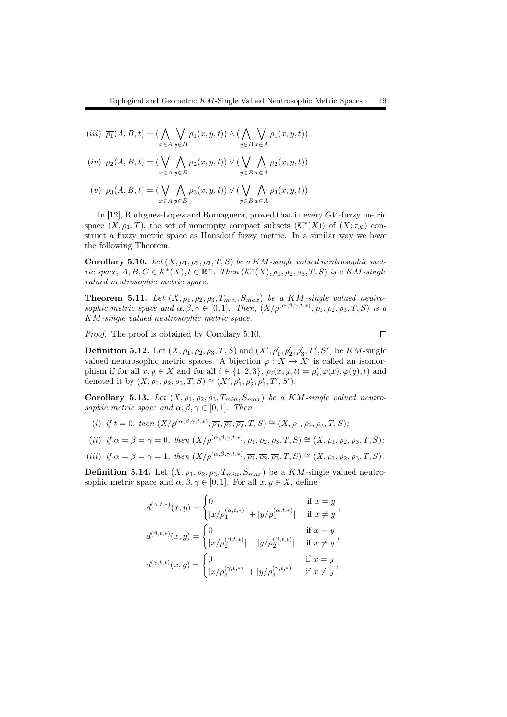$(iii) \overline{\rho_1}(A, B, t) = (\bigwedge$ *x∈A* ∨ *y∈B*  $\rho_1(x, y, t)$ )  $\wedge$  ( *y∈B* ∨ *x∈A ρ*1(*x, y, t*))*,*

$$
(iv) \ \overline{\rho_2}(A,B,t) = (\bigvee_{x \in A} \bigwedge_{y \in B} \rho_2(x,y,t)) \vee (\bigvee_{y \in B} \bigwedge_{x \in A} \rho_2(x,y,t)),
$$

$$
(v) \ \overline{\rho_3}(A,B,t) = (\bigvee_{x \in A} \bigwedge_{y \in B} \rho_3(x,y,t)) \vee (\bigvee_{y \in B} \bigwedge_{x \in A} \rho_3(x,y,t)).
$$

In [12], Rodrguez-Lopez and Romaguera, proved that in every *GV* -fuzzy metric space  $(X, \rho_1, T)$ , the set of nonempty compact subsets  $(\mathcal{K}^*(X))$  of  $(X; \tau_X)$  construct a fuzzy metric space as Hausdorf fuzzy metric. In a similar way we have the following Theorem.

Corollary 5.10. Let  $(X, \rho_1, \rho_2, \rho_3, T, S)$  be a  $KM$ -single valued neutrosophic metric space,  $A, B, C \in \mathcal{K}^*(X), t \in \mathbb{R}^+$ . Then  $(\mathcal{K}^*(X), \overline{\rho_1}, \overline{\rho_2}, \overline{\rho_3}, T, S)$  is a KM-single *valued neutrosophic metric space.*

**Theorem 5.11.** Let  $(X, \rho_1, \rho_2, \rho_3, T_{min}, S_{max})$  be a KM-single valued neutro*sophic metric space and*  $\alpha, \beta, \gamma \in [0, 1]$ *. Then,*  $(X/\rho^{(\alpha, \beta, \gamma, t, *)}, \overline{\rho_1}, \overline{\rho_2}, \overline{\rho_3}, T, S)$  *is a KM-single valued neutrosophic metric space.*

 $\Box$ 

*Proof.* The proof is obtained by Corollary 5.10.

**Definition 5.12.** Let  $(X, \rho_1, \rho_2, \rho_3, T, S)$  and  $(X', \rho'_1, \rho'_2, \rho'_3, T', S')$  be  $KM$ -single valued neutrosophic metric spaces. A bijection  $\varphi: X \to X'$  is called an isomorphism if for all  $x, y \in X$  and for all  $i \in \{1, 2, 3\}$ ,  $\rho_i(x, y, t) = \rho'_i(\varphi(x), \varphi(y), t)$  and denoted it by  $(X, \rho_1, \rho_2, \rho_3, T, S) \cong (X', \rho'_1, \rho'_2, \rho'_3, T', S')$ .

Corollary 5.13. Let  $(X, \rho_1, \rho_2, \rho_3, T_{min}, S_{max})$  be a KM-single valued neutro*sophic metric space and*  $\alpha, \beta, \gamma \in [0, 1]$ *. Then* 

 $(i)$  *if*  $t = 0$ *, then*  $(X/\rho^{(\alpha,\beta,\gamma,t,*)}, \overline{\rho_1}, \overline{\rho_2}, \overline{\rho_3}, T, S) \cong (X, \rho_1, \rho_2, \rho_3, T, S)$ ;

(ii) if 
$$
\alpha = \beta = \gamma = 0
$$
, then  $(X/\rho^{(\alpha,\beta,\gamma,t,*)}, \overline{\rho_1}, \overline{\rho_2}, \overline{\rho_3}, T, S) \cong (X, \rho_1, \rho_2, \rho_3, T, S);$ 

(iii) if 
$$
\alpha = \beta = \gamma = 1
$$
, then  $(X/\rho^{(\alpha,\beta,\gamma,t,*)}, \overline{\rho_1}, \overline{\rho_2}, \overline{\rho_3}, T, S) \cong (X, \rho_1, \rho_2, \rho_3, T, S)$ .

**Definition 5.14.** Let  $(X, \rho_1, \rho_2, \rho_3, T_{min}, S_{max})$  be a *KM*-single valued neutrosophic metric space and  $\alpha, \beta, \gamma \in [0, 1]$ . For all  $x, y \in X$ , define

$$
d^{(\alpha,t,*)}(x,y) = \begin{cases} 0 & \text{if } x = y \\ |x/\rho_1^{(\alpha,t,*)}| + |y/\rho_1^{(\alpha,t,*)}| & \text{if } x \neq y \end{cases},
$$
  

$$
d^{(\beta,t,*)}(x,y) = \begin{cases} 0 & \text{if } x = y \\ |x/\rho_2^{(\beta,t,*)}| + |y/\rho_2^{(\beta,t,*)}| & \text{if } x \neq y \end{cases},
$$
  

$$
d^{(\gamma,t,*)}(x,y) = \begin{cases} 0 & \text{if } x = y \\ |x/\rho_3^{(\gamma,t,*)}| + |y/\rho_3^{(\gamma,t,*)}| & \text{if } x \neq y \end{cases},
$$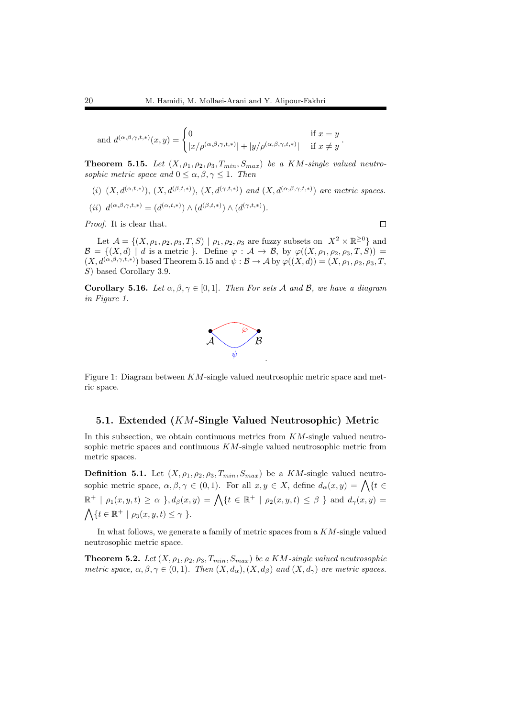and 
$$
d^{(\alpha,\beta,\gamma,t,*)}(x,y) = \begin{cases} 0 & \text{if } x = y \\ |x/\rho^{(\alpha,\beta,\gamma,t,*)}| + |y/\rho^{(\alpha,\beta,\gamma,t,*)}| & \text{if } x \neq y \end{cases}
$$

**Theorem 5.15.** Let  $(X, \rho_1, \rho_2, \rho_3, T_{min}, S_{max})$  be a KM-single valued neutro*sophic metric space and*  $0 \leq \alpha, \beta, \gamma \leq 1$ *. Then* 

- (*i*)  $(X, d^{(\alpha, t, *)})$ ,  $(X, d^{(\beta, t, *)})$ ,  $(X, d^{(\gamma, t, *)})$  *and*  $(X, d^{(\alpha, \beta, \gamma, t, *)})$  *are metric spaces.*
- $(iii) d^{(\alpha,\beta,\gamma,t,*)} = (d^{(\alpha,t,*)}) \wedge (d^{(\beta,t,*)}) \wedge (d^{(\gamma,t,*)}).$

*Proof.* It is clear that.

Let  $\mathcal{A} = \{(X, \rho_1, \rho_2, \rho_3, T, S) \mid \rho_1, \rho_2, \rho_3 \text{ are fuzzy subsets on } X^2 \times \mathbb{R}^{\geq 0} \}$  and  $\mathcal{B} = \{(X, d) \mid d \text{ is a metric } \}.$  Define  $\varphi : \mathcal{A} \to \mathcal{B}$ , by  $\varphi((X, \rho_1, \rho_2, \rho_3, T, S)) =$  $(X, d^{(\alpha,\beta,\gamma,t,*)})$  based Theorem 5.15 and  $\psi : \mathcal{B} \to \mathcal{A}$  by  $\varphi((X,d)) = (X, \rho_1, \rho_2, \rho_3, T,$ *S*) based Corollary 3.9.

**Corollary 5.16.** Let  $\alpha, \beta, \gamma \in [0, 1]$ . Then For sets A and B, we have a diagram *in Figure 1.*



Figure 1: Diagram between *KM*-single valued neutrosophic metric space and metric space.

#### 5.1. Extended (*KM*-Single Valued Neutrosophic) Metric

In this subsection, we obtain continuous metrics from *KM*-single valued neutrosophic metric spaces and continuous *KM*-single valued neutrosophic metric from metric spaces.

**Definition 5.1.** Let  $(X, \rho_1, \rho_2, \rho_3, T_{min}, S_{max})$  be a *KM*-single valued neutrosophic metric space,  $\alpha, \beta, \gamma \in (0, 1)$ . For all  $x, y \in X$ , define  $d_{\alpha}(x, y) = \bigwedge \{t \in$  $\mathbb{R}^+$  |  $\rho_1(x, y, t) \ge \alpha$  },  $d_\beta(x, y) = \bigwedge \{t \in \mathbb{R}^+ \mid \rho_2(x, y, t) \le \beta \}$  and  $d_\gamma(x, y) =$  $\bigwedge$  {*t*  $\in$   $\mathbb{R}^+$  |  $\rho_3(x, y, t) \leq \gamma$  }.

In what follows, we generate a family of metric spaces from a *KM*-single valued neutrosophic metric space.

**Theorem 5.2.** Let  $(X, \rho_1, \rho_2, \rho_3, T_{min}, S_{max})$  be a KM-single valued neutrosophic *metric space,*  $\alpha, \beta, \gamma \in (0,1)$ *. Then*  $(X, d_{\alpha}), (X, d_{\beta})$  *and*  $(X, d_{\gamma})$  *are metric spaces.* 

 $\Box$ 

*.*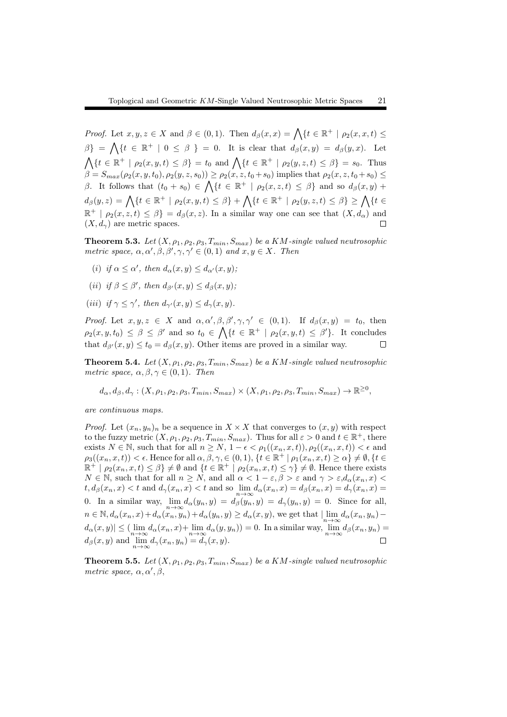*Proof.* Let  $x, y, z \in X$  and  $\beta \in (0, 1)$ . Then  $d_{\beta}(x, x) = \bigwedge \{t \in \mathbb{R}^+ \mid \rho_2(x, x, t) \le t \le t \}$  $\beta$ } =  $\bigwedge$ {*t*  $\in \mathbb{R}^+$  | 0  $\leq \beta$  } = 0. It is clear that  $d_{\beta}(x, y) = d_{\beta}(y, x)$ . Let  $\bigwedge \{t \in \mathbb{R}^+ \mid \rho_2(x, y, t) \leq \beta\} = t_0 \text{ and } \bigwedge \{t \in \mathbb{R}^+ \mid \rho_2(y, z, t) \leq \beta\} = s_0.$  Thus  $\beta = S_{max}(\rho_2(x, y, t_0), \rho_2(y, z, s_0)) \ge \rho_2(x, z, t_0 + s_0)$  implies that  $\rho_2(x, z, t_0 + s_0) \le$ *β*. It follows that  $(t_0 + s_0) \in \bigwedge \{t \in \mathbb{R}^+ \mid \rho_2(x, z, t) \leq \beta\}$  and so  $d_\beta(x, y)$  +  $d_{\beta}(y, z) = \bigwedge \{t \in \mathbb{R}^+ \mid \rho_2(x, y, t) \leq \beta\} + \bigwedge \{t \in \mathbb{R}^+ \mid \rho_2(y, z, t) \leq \beta\} \geq \bigwedge \{t \in \mathbb{R}^+ \mid \rho_2(y, z, t) \leq \beta\}$  $\mathbb{R}^+$  |  $\rho_2(x, z, t) \leq \beta$ } =  $d_\beta(x, z)$ . In a similar way one can see that  $(X, d_\alpha)$  and  $(X, d_\gamma)$  are metric spaces.

**Theorem 5.3.** Let  $(X, \rho_1, \rho_2, \rho_3, T_{min}, S_{max})$  be a KM-single valued neutrosophic *metric space,*  $\alpha, \alpha', \beta, \beta', \gamma, \gamma' \in (0,1)$  *and*  $x, y \in X$ *. Then* 

- $(i)$  *if*  $\alpha \leq \alpha'$ , then  $d_{\alpha}(x, y) \leq d_{\alpha'}(x, y)$ ;
- $(iii)$  *if*  $\beta \leq \beta'$ , then  $d_{\beta'}(x, y) \leq d_{\beta}(x, y)$ ;
- $(iii)$  *if*  $\gamma \leq \gamma'$ , then  $d_{\gamma'}(x, y) \leq d_{\gamma}(x, y)$ .

*Proof.* Let  $x, y, z \in X$  and  $\alpha, \alpha', \beta, \beta', \gamma, \gamma' \in (0,1)$ . If  $d_{\beta}(x, y) = t_0$ , then  $\rho_2(x, y, t_0) \leq \beta \leq \beta'$  and so  $t_0 \in \bigwedge \{t \in \mathbb{R}^+ \mid \rho_2(x, y, t) \leq \beta'\}.$  It concludes that  $d_{\beta'}(x, y) \le t_0 = d_{\beta}(x, y)$ . Other items are proved in a similar way.  $\Box$ 

**Theorem 5.4.** *Let*  $(X, \rho_1, \rho_2, \rho_3, T_{min}, S_{max})$  *be a KM*-single valued neutrosophic *metric space,*  $\alpha, \beta, \gamma \in (0, 1)$ *. Then* 

 $d_{\alpha}, d_{\beta}, d_{\gamma}: (X, \rho_1, \rho_2, \rho_3, T_{min}, S_{max}) \times (X, \rho_1, \rho_2, \rho_3, T_{min}, S_{max}) \rightarrow \mathbb{R}^{\geq 0},$ 

*are continuous maps.*

*Proof.* Let  $(x_n, y_n)_n$  be a sequence in  $X \times X$  that converges to  $(x, y)$  with respect to the fuzzy metric  $(X, \rho_1, \rho_2, \rho_3, T_{min}, S_{max})$ . Thus for all  $\varepsilon > 0$  and  $t \in \mathbb{R}^+$ , there exists  $N \in \mathbb{N}$ , such that for all  $n \geq N$ ,  $1 - \epsilon < \rho_1((x_n, x, t))$ ,  $\rho_2((x_n, x, t)) < \epsilon$  and  $\rho_3((x_n, x, t)) < \epsilon$ . Hence for all  $\alpha, \beta, \gamma \in (0, 1), \{t \in \mathbb{R}^+ \mid \rho_1(x_n, x, t) \geq \alpha\} \neq \emptyset, \{t \in \mathbb{R}^+ \mid \rho_2(x, t) \geq \alpha\}$  $\mathbb{R}^+ \mid \rho_2(x_n, x, t) \leq \beta$   $\neq \emptyset$  and  $\{t \in \mathbb{R}^+ \mid \rho_2(x_n, x, t) \leq \gamma\} \neq \emptyset$ . Hence there exists *N*  $\in$  N, such that for all  $n \geq N$ , and all  $\alpha < 1 - \varepsilon, \beta > \varepsilon$  and  $\gamma > \varepsilon, d_\alpha(x_n, x)$  $t, d_{\beta}(x_n, x) < t$  and  $d_{\gamma}(x_n, x) < t$  and so  $\lim_{n \to \infty} d_{\alpha}(x_n, x) = d_{\beta}(x_n, x) = d_{\gamma}(x_n, x) =$ 0. In a similar way,  $\lim_{n \to \infty} d_{\alpha}(y_n, y) = d_{\beta}(y_n, y) = 0$ . Since for all,  $n \in \mathbb{N}, d_{\alpha}(x_n, x) + d_{\alpha}(x_n, y_n) + d_{\alpha}(y_n, y) \geq d_{\alpha}(x, y),$  we get that  $\lim_{n \to \infty} d_{\alpha}(x_n, y_n) - d_{\alpha}(x_n, y_n)$  $d_{\alpha}(x, y) \leq (\lim_{n \to \infty} d_{\alpha}(x_n, x) + \lim_{n \to \infty} d_{\alpha}(y, y_n)) = 0.$  In a similar way,  $\lim_{n \to \infty} d_{\beta}(x_n, y_n) =$  $d_{\beta}(x, y)$  and  $\lim_{n \to \infty} d_{\gamma}(x_n, y_n) = d_{\gamma}(x, y).$ 

**Theorem 5.5.** Let  $(X, \rho_1, \rho_2, \rho_3, T_{min}, S_{max})$  be a KM-single valued neutrosophic *metric space, α, α′ , β,*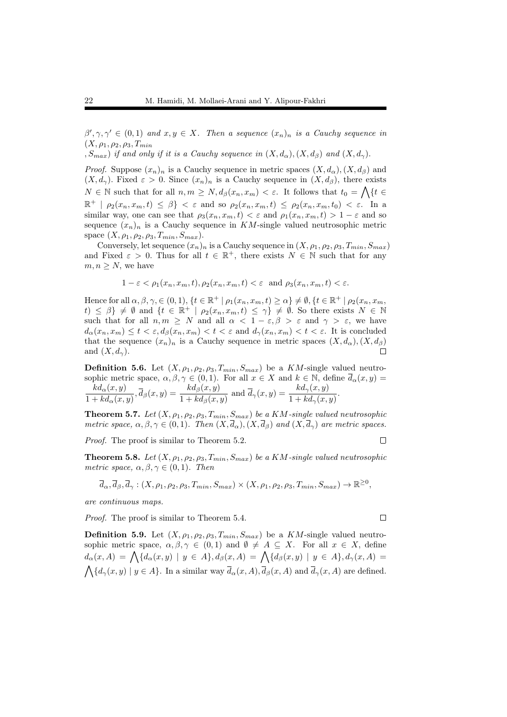$\beta', \gamma, \gamma' \in (0,1)$  *and*  $x, y \in X$ *. Then a sequence*  $(x_n)_n$  *is a Cauchy sequence in*  $(X, \rho_1, \rho_2, \rho_3, T_{min})$ 

*,*  $S_{max}$ ) *if and only if it is a Cauchy sequence in*  $(X, d_{\alpha})$ ,  $(X, d_{\beta})$  *and*  $(X, d_{\gamma})$ *.* 

*Proof.* Suppose  $(x_n)_n$  is a Cauchy sequence in metric spaces  $(X, d_\alpha)$ ,  $(X, d_\beta)$  and  $(X, d_\gamma)$ . Fixed  $\varepsilon > 0$ . Since  $(x_n)_n$  is a Cauchy sequence in  $(X, d_\beta)$ , there exists  $N \in \mathbb{N}$  such that for all  $n, m \geq N$ ,  $d_{\beta}(x_n, x_m) < \varepsilon$ . It follows that  $t_0 = \bigwedge \{t \in$  $\mathbb{R}^+$  |  $\rho_2(x_n, x_m, t) \leq \beta$ }  $< \varepsilon$  and so  $\rho_2(x_n, x_m, t) \leq \rho_2(x_n, x_m, t_0) < \varepsilon$ . In a similar way, one can see that  $\rho_3(x_n, x_m, t) < \varepsilon$  and  $\rho_1(x_n, x_m, t) > 1 - \varepsilon$  and so sequence  $(x_n)_n$  is a Cauchy sequence in  $KM$ -single valued neutrosophic metric space  $(X, \rho_1, \rho_2, \rho_3, T_{min}, S_{max})$ .

Conversely, let sequence  $(x_n)_n$  is a Cauchy sequence in  $(X, \rho_1, \rho_2, \rho_3, T_{min}, S_{max})$ and Fixed  $\varepsilon > 0$ . Thus for all  $t \in \mathbb{R}^+$ , there exists  $N \in \mathbb{N}$  such that for any  $m, n \geq N$ , we have

$$
1 - \varepsilon < \rho_1(x_n, x_m, t), \rho_2(x_n, x_m, t) < \varepsilon \text{ and } \rho_3(x_n, x_m, t) < \varepsilon.
$$

Hence for all  $\alpha, \beta, \gamma, \in (0,1)$ ,  $\{t \in \mathbb{R}^+ \mid \rho_1(x_n, x_m, t) \geq \alpha\} \neq \emptyset$ ,  $\{t \in \mathbb{R}^+ \mid \rho_2(x_n, x_m, t) \geq \alpha\}$  $t) \leq \beta$   $\neq \emptyset$  and  $\{t \in \mathbb{R}^+ \mid \rho_2(x_n, x_m, t) \leq \gamma\} \neq \emptyset$ . So there exists  $N \in \mathbb{N}$ such that for all  $n, m \geq N$  and all  $\alpha < 1 - \varepsilon, \beta > \varepsilon$  and  $\gamma > \varepsilon$ , we have  $d_{\alpha}(x_n, x_m) \leq t < \varepsilon, d_{\beta}(x_n, x_m) < t < \varepsilon$  and  $d_{\gamma}(x_n, x_m) < t < \varepsilon$ . It is concluded that the sequence  $(x_n)_n$  is a Cauchy sequence in metric spaces  $(X, d_\alpha)$ ,  $(X, d_\beta)$ and  $(X, d_\gamma)$ .  $\Box$ 

**Definition 5.6.** Let  $(X, \rho_1, \rho_2, \rho_3, T_{min}, S_{max})$  be a *KM*-single valued neutrosophic metric space,  $\alpha, \beta, \gamma \in (0, 1)$ . For all  $x \in X$  and  $k \in \mathbb{N}$ , define  $d_{\alpha}(x, y) =$  $kd_\alpha(x,y)$  $\frac{kd_{\alpha}(x,y)}{1+kd_{\alpha}(x,y)}, \overline{d}_{\beta}(x,y) = \frac{kd_{\beta}(x,y)}{1+kd_{\beta}(x,y)}$  and  $\overline{d}_{\gamma}(x,y) = \frac{kd_{\gamma}(x,y)}{1+kd_{\gamma}(x,y)}.$ 

**Theorem 5.7.** *Let*  $(X, \rho_1, \rho_2, \rho_3, T_{min}, S_{max})$  *be a KM*-single valued neutrosophic *metric space,*  $\alpha, \beta, \gamma \in (0, 1)$ *. Then*  $(X, \overline{d}_\alpha)$ ,  $(X, \overline{d}_\beta)$  and  $(X, \overline{d}_\gamma)$  are metric spaces.

*Proof.* The proof is similar to Theorem 5.2.

**Theorem 5.8.** Let  $(X, \rho_1, \rho_2, \rho_3, T_{min}, S_{max})$  be a KM-single valued neutrosophic *metric space,*  $\alpha, \beta, \gamma \in (0, 1)$ *. Then* 

$$
\overline{d}_{\alpha}, \overline{d}_{\beta}, \overline{d}_{\gamma}: (X, \rho_1, \rho_2, \rho_3, T_{min}, S_{max}) \times (X, \rho_1, \rho_2, \rho_3, T_{min}, S_{max}) \to \mathbb{R}^{\geq 0},
$$

*are continuous maps.*

*Proof.* The proof is similar to Theorem 5.4.

**Definition 5.9.** Let  $(X, \rho_1, \rho_2, \rho_3, T_{min}, S_{max})$  be a *KM*-single valued neutrosophic metric space,  $\alpha, \beta, \gamma \in (0,1)$  and  $\emptyset \neq A \subseteq X$ . For all  $x \in X$ , define  $d_{\alpha}(x, A) = \bigwedge \{d_{\alpha}(x, y) \mid y \in A\}, d_{\beta}(x, A) = \bigwedge \{d_{\beta}(x, y) \mid y \in A\}, d_{\gamma}(x, A) =$  $\bigwedge \{d_{\gamma}(x, y) \mid y \in A\}$ . In a similar way  $\overline{d}_{\alpha}(x, A), \overline{d}_{\beta}(x, A)$  and  $\overline{d}_{\gamma}(x, A)$  are defined.

 $\Box$ 

 $\Box$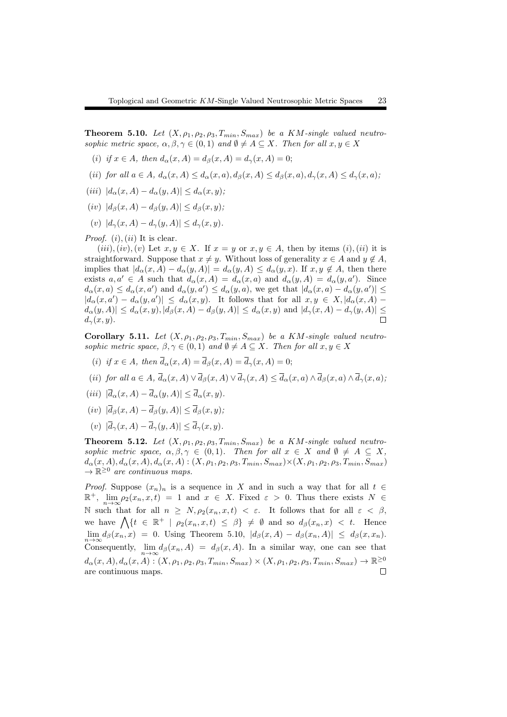**Theorem 5.10.** Let  $(X, \rho_1, \rho_2, \rho_3, T_{min}, S_{max})$  be a KM-single valued neutro*sophic metric space,*  $\alpha, \beta, \gamma \in (0,1)$  *and*  $\emptyset \neq A \subseteq X$ *. Then for all*  $x, y \in X$ 

- (*i*) *if*  $x \in A$ *, then*  $d_{\alpha}(x, A) = d_{\beta}(x, A) = d_{\gamma}(x, A) = 0$ ;
- (ii) for all  $a \in A$ ,  $d_{\alpha}(x, A) \leq d_{\alpha}(x, a)$ ,  $d_{\beta}(x, A) \leq d_{\beta}(x, a)$ ,  $d_{\gamma}(x, A) \leq d_{\gamma}(x, a)$ ;
- $(iii) |d_{\alpha}(x, A) d_{\alpha}(y, A)| \leq d_{\alpha}(x, y);$
- $(iv)$   $|d_{\beta}(x, A) d_{\beta}(y, A)| \leq d_{\beta}(x, y);$
- $(v)$   $|d_{\gamma}(x, A) d_{\gamma}(y, A)| \leq d_{\gamma}(x, y).$

*Proof.* (*i*)*,*(*ii*) It is clear.

 $(iii)$ *,* $(iv)$ *,* $(v)$  Let  $x, y \in X$ . If  $x = y$  or  $x, y \in A$ , then by items  $(i)$ *,* $(ii)$  it is straightforward. Suppose that  $x \neq y$ . Without loss of generality  $x \in A$  and  $y \notin A$ , implies that  $|d_{\alpha}(x, A) - d_{\alpha}(y, A)| = d_{\alpha}(y, A) \leq d_{\alpha}(y, x)$ . If  $x, y \notin A$ , then there exists  $a, a' \in A$  such that  $d_{\alpha}(x, A) = d_{\alpha}(x, a)$  and  $d_{\alpha}(y, A) = d_{\alpha}(y, a')$ . Since  $d_{\alpha}(x, a) \leq d_{\alpha}(x, a')$  and  $d_{\alpha}(y, a') \leq d_{\alpha}(y, a)$ , we get that  $|d_{\alpha}(x, a) - d_{\alpha}(y, a')| \leq$  $|d_{\alpha}(x,a') - d_{\alpha}(y,a')| \leq d_{\alpha}(x,y)$ . It follows that for all  $x,y \in X, |d_{\alpha}(x,A) |d_{\alpha}(y,A)| \leq d_{\alpha}(x,y), |d_{\beta}(x,A) - d_{\beta}(y,A)| \leq d_{\alpha}(x,y)$  and  $|d_{\gamma}(x,A) - d_{\gamma}(y,A)| \leq$  $d_{\gamma}(x, y)$ .  $\Box$ 

Corollary 5.11. Let  $(X, \rho_1, \rho_2, \rho_3, T_{min}, S_{max})$  be a KM-single valued neutro*sophic metric space,*  $\beta, \gamma \in (0,1)$  *and*  $\emptyset \neq A \subseteq X$ *. Then for all*  $x, y \in X$ 

- (*i*) *if*  $x \in A$ *, then*  $\overline{d}_{\alpha}(x, A) = \overline{d}_{\beta}(x, A) = \overline{d}_{\gamma}(x, A) = 0$ ;
- (ii) for all  $a \in A$ ,  $\overline{d}_{\alpha}(x, A) \vee \overline{d}_{\beta}(x, A) \vee \overline{d}_{\gamma}(x, A) \leq \overline{d}_{\alpha}(x, a) \wedge \overline{d}_{\beta}(x, a) \wedge \overline{d}_{\gamma}(x, a)$ ;
- $(iii)$   $|\overline{d}_{\alpha}(x, A) \overline{d}_{\alpha}(y, A)| \leq \overline{d}_{\alpha}(x, y)$ .
- $(iv)$   $|\overline{d}_{\beta}(x, A) \overline{d}_{\beta}(y, A)| \leq \overline{d}_{\beta}(x, y);$
- $(v)$   $|\overline{d}_{\gamma}(x, A) \overline{d}_{\gamma}(y, A)| \leq \overline{d}_{\gamma}(x, y)$ .

**Theorem 5.12.** Let  $(X, \rho_1, \rho_2, \rho_3, T_{min}, S_{max})$  be a KM-single valued neutro*sophic metric space,*  $\alpha, \beta, \gamma \in (0,1)$ *. Then for all*  $x \in X$  *and*  $\emptyset \neq A \subseteq X$ *,*  $d_{\alpha}(x, A), d_{\alpha}(x, A), d_{\alpha}(x, A): (X, \rho_1, \rho_2, \rho_3, T_{min}, S_{max}) \times (X, \rho_1, \rho_2, \rho_3, T_{min}, S_{max})$ *→* R *<sup>≥</sup>*<sup>0</sup> *are continuous maps.*

*Proof.* Suppose  $(x_n)_n$  is a sequence in *X* and in such a way that for all  $t \in$  $\mathbb{R}^+$ ,  $\lim_{n \to \infty} \rho_2(x_n, x, t) = 1$  and  $x \in X$ . Fixed  $\varepsilon > 0$ . Thus there exists  $N \in \mathbb{R}^+$ N such that for all  $n \geq N$ ,  $\rho_2(x_n, x, t) < \varepsilon$ . It follows that for all  $\varepsilon < \beta$ , we have  $\bigwedge \{t \in \mathbb{R}^+ \mid \rho_2(x_n, x, t) \leq \beta\} \neq \emptyset$  and so  $d_\beta(x_n, x) < t$ . Hence  $\lim_{n \to \infty} d_{\beta}(x_n, x) = 0.$  Using Theorem 5.10,  $|d_{\beta}(x, A) - d_{\beta}(x_n, A)| \leq d_{\beta}(x, x_n).$ Consequently,  $\lim_{n\to\infty} d_{\beta}(x_n, A) = d_{\beta}(x, A)$ . In a similar way, one can see that  $d_{\alpha}(x,A), d_{\alpha}(x,A): (X,\rho_1,\rho_2,\rho_3,T_{min},S_{max})\times (X,\rho_1,\rho_2,\rho_3,T_{min},S_{max})\rightarrow \mathbb{R}^{\geq 0}$ are continuous maps. $\Box$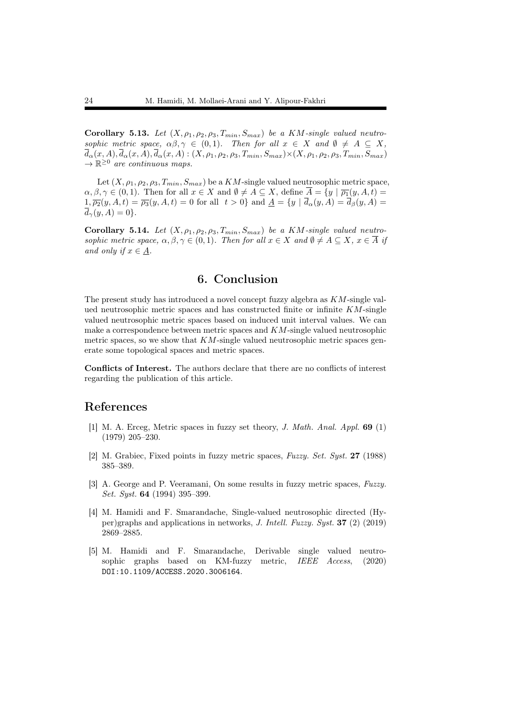Corollary 5.13. Let  $(X, \rho_1, \rho_2, \rho_3, T_{min}, S_{max})$  be a KM-single valued neutro*sophic metric space,*  $\alpha\beta, \gamma \in (0,1)$ *. Then for all*  $x \in X$  *and*  $\emptyset \neq A \subseteq X$ *,*  $\overline{d}_{\alpha}(x, A), \overline{d}_{\alpha}(x, A), \overline{d}_{\alpha}(x, A): (X, \rho_1, \rho_2, \rho_3, T_{min}, S_{max}) \times (X, \rho_1, \rho_2, \rho_3, T_{min}, S_{max})$ *→* R *<sup>≥</sup>*<sup>0</sup> *are continuous maps.*

Let  $(X, \rho_1, \rho_2, \rho_3, T_{min}, S_{max})$  be a  $KM$ -single valued neutrosophic metric space,  $\alpha, \beta, \gamma \in (0,1)$ . Then for all  $x \in X$  and  $\emptyset \neq A \subseteq X$ , define  $\overline{A} = \{y \mid \overline{\rho_1}(y, A, t) =$  $1, \overline{\rho_2}(y, A, t) = \overline{\rho_3}(y, A, t) = 0$  for all  $t > 0$ } and  $A = \{y \mid \overline{d}_{\alpha}(y, A) = \overline{d}_{\beta}(y, A) = 0\}$  $\overline{d}_{\gamma}(y, A) = 0$ .

Corollary 5.14. Let  $(X, \rho_1, \rho_2, \rho_3, T_{min}, S_{max})$  be a KM-single valued neutro*sophic metric space,*  $\alpha, \beta, \gamma \in (0,1)$ *. Then for all*  $x \in X$  *and*  $\emptyset \neq A \subseteq X$ *,*  $x \in \overline{A}$  *if and only if*  $x \in A$ *.* 

### 6. Conclusion

The present study has introduced a novel concept fuzzy algebra as *KM*-single valued neutrosophic metric spaces and has constructed finite or infinite *KM*-single valued neutrosophic metric spaces based on induced unit interval values. We can make a correspondence between metric spaces and *KM*-single valued neutrosophic metric spaces, so we show that *KM*-single valued neutrosophic metric spaces generate some topological spaces and metric spaces.

Conflicts of Interest. The authors declare that there are no conflicts of interest regarding the publication of this article.

#### References

- [1] M. A. Erceg, Metric spaces in fuzzy set theory, *J. Math. Anal. Appl.* 69 (1) (1979) 205–230.
- [2] M. Grabiec, Fixed points in fuzzy metric spaces, *Fuzzy. Set. Syst.* 27 (1988) 385–389.
- [3] A. George and P. Veeramani, On some results in fuzzy metric spaces, *Fuzzy. Set. Syst.* 64 (1994) 395–399.
- [4] M. Hamidi and F. Smarandache, Single-valued neutrosophic directed (Hyper)graphs and applications in networks, *J. Intell. Fuzzy. Syst.* 37 (2) (2019) 2869–2885.
- [5] M. Hamidi and F. Smarandache, Derivable single valued neutrosophic graphs based on KM-fuzzy metric, *IEEE Access*, (2020) DOI:10.1109/ACCESS.2020.3006164.